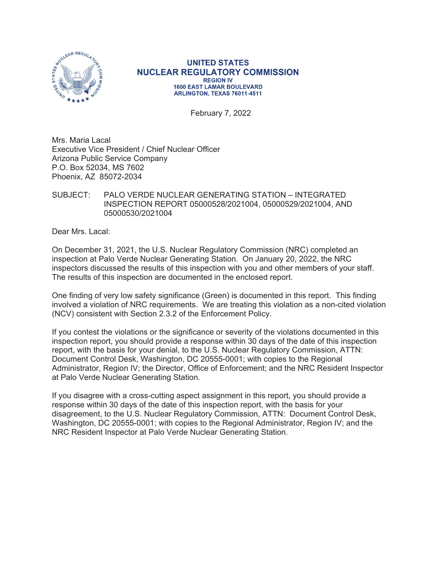

#### **UNITED STATES NUCLEAR REGULATORY COMMISSION REGION IV 1600 EAST LAMAR BOULEVARD** ARLINGTON. TEXAS 76011-4511

February 7, 2022

Mrs. Maria Lacal Executive Vice President / Chief Nuclear Officer Arizona Public Service Company P.O. Box 52034, MS 7602 Phoenix, AZ 85072-2034

## SUBJECT: PALO VERDE NUCLEAR GENERATING STATION – INTEGRATED INSPECTION REPORT 05000528/2021004, 05000529/2021004, AND 05000530/2021004

Dear Mrs. Lacal:

On December 31, 2021, the U.S. Nuclear Regulatory Commission (NRC) completed an inspection at Palo Verde Nuclear Generating Station. On January 20, 2022, the NRC inspectors discussed the results of this inspection with you and other members of your staff. The results of this inspection are documented in the enclosed report.

One finding of very low safety significance (Green) is documented in this report. This finding involved a violation of NRC requirements. We are treating this violation as a non-cited violation (NCV) consistent with Section 2.3.2 of the Enforcement Policy.

If you contest the violations or the significance or severity of the violations documented in this inspection report, you should provide a response within 30 days of the date of this inspection report, with the basis for your denial, to the U.S. Nuclear Regulatory Commission, ATTN: Document Control Desk, Washington, DC 20555-0001; with copies to the Regional Administrator, Region IV; the Director, Office of Enforcement; and the NRC Resident Inspector at Palo Verde Nuclear Generating Station.

If you disagree with a cross-cutting aspect assignment in this report, you should provide a response within 30 days of the date of this inspection report, with the basis for your disagreement, to the U.S. Nuclear Regulatory Commission, ATTN: Document Control Desk, Washington, DC 20555-0001; with copies to the Regional Administrator, Region IV; and the NRC Resident Inspector at Palo Verde Nuclear Generating Station.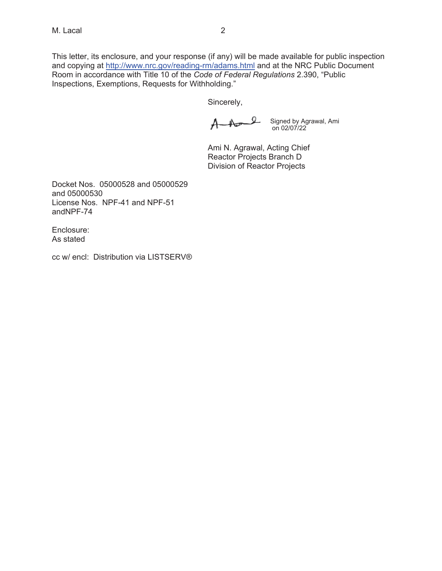This letter, its enclosure, and your response (if any) will be made available for public inspection and copying at http://www.nrc.gov/reading-rm/adams.html and at the NRC Public Document Room in accordance with Title 10 of the *Code of Federal Regulations* 2.390, "Public Inspections, Exemptions, Requests for Withholding."

Sincerely,

And Signed by Agrawal, Ami on 02/07/22

Ami N. Agrawal, Acting Chief Reactor Projects Branch D Division of Reactor Projects

Docket Nos. 05000528 and 05000529 and 05000530 License Nos. NPF-41 and NPF-51 andNPF-74

Enclosure: As stated

cc w/ encl: Distribution via LISTSERV®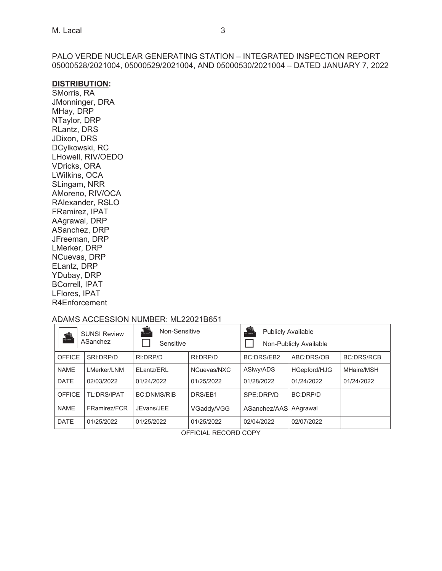PALO VERDE NUCLEAR GENERATING STATION – INTEGRATED INSPECTION REPORT 05000528/2021004, 05000529/2021004, AND 05000530/2021004 – DATED JANUARY 7, 2022

#### **DISTRIBUTION:**

SMorris, RA JMonninger, DRA MHay, DRP NTaylor, DRP RLantz, DRS JDixon, DRS DCylkowski, RC LHowell, RIV/OEDO VDricks, ORA LWilkins, OCA SLingam, NRR AMoreno, RIV/OCA RAlexander, RSLO FRamirez, IPAT AAgrawal, DRP ASanchez, DRP JFreeman, DRP LMerker, DRP NCuevas, DRP ELantz, DRP YDubay, DRP BCorrell, IPAT LFlores, IPAT R4Enforcement

#### ADAMS ACCESSION NUMBER: ML22021B651

| <b>A</b>      | <b>SUNSI Review</b><br>ASanchez | 夸<br>Non-Sensitive<br>Sensitive |             | <b>Publicly Available</b> | Non-Publicly Available |                   |
|---------------|---------------------------------|---------------------------------|-------------|---------------------------|------------------------|-------------------|
| <b>OFFICE</b> | SRI:DRP/D                       | RI:DRP/D                        | RI:DRP/D    | <b>BC:DRS/EB2</b>         | ABC:DRS/OB             | <b>BC:DRS/RCB</b> |
| <b>NAME</b>   | LMerker/LNM                     | ELantz/ERL                      | NCuevas/NXC | ASiwy/ADS                 | HGepford/HJG           | MHaire/MSH        |
| <b>DATE</b>   | 02/03/2022                      | 01/24/2022                      | 01/25/2022  | 01/28/2022                | 01/24/2022             | 01/24/2022        |
| <b>OFFICE</b> | TL:DRS/IPAT                     | <b>BC:DNMS/RIB</b>              | DRS/EB1     | SPE:DRP/D                 | <b>BC:DRP/D</b>        |                   |
| <b>NAME</b>   | FRamirez/FCR                    | JEvans/JEE                      | VGaddy/VGG  | ASanchez/AAS              | AAgrawal               |                   |
| <b>DATE</b>   | 01/25/2022                      | 01/25/2022                      | 01/25/2022  | 02/04/2022                | 02/07/2022             |                   |

OFFICIAL RECORD COPY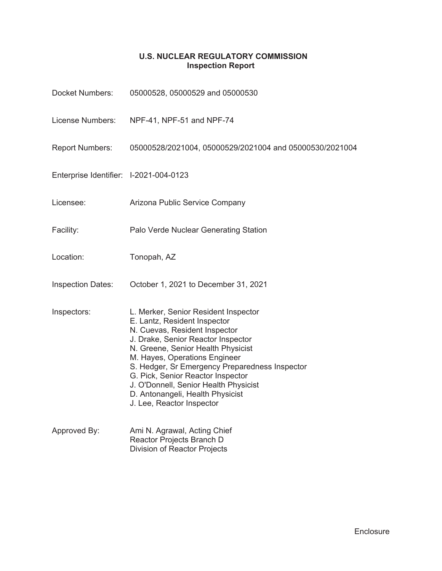# **U.S. NUCLEAR REGULATORY COMMISSION Inspection Report**

| <b>Docket Numbers:</b>                 | 05000528, 05000529 and 05000530                                                                                                                                                                                                                                                                                                                                                                                     |
|----------------------------------------|---------------------------------------------------------------------------------------------------------------------------------------------------------------------------------------------------------------------------------------------------------------------------------------------------------------------------------------------------------------------------------------------------------------------|
| License Numbers:                       | NPF-41, NPF-51 and NPF-74                                                                                                                                                                                                                                                                                                                                                                                           |
| <b>Report Numbers:</b>                 | 05000528/2021004, 05000529/2021004 and 05000530/2021004                                                                                                                                                                                                                                                                                                                                                             |
| Enterprise Identifier: I-2021-004-0123 |                                                                                                                                                                                                                                                                                                                                                                                                                     |
| Licensee:                              | Arizona Public Service Company                                                                                                                                                                                                                                                                                                                                                                                      |
| Facility:                              | Palo Verde Nuclear Generating Station                                                                                                                                                                                                                                                                                                                                                                               |
| Location:                              | Tonopah, AZ                                                                                                                                                                                                                                                                                                                                                                                                         |
| <b>Inspection Dates:</b>               | October 1, 2021 to December 31, 2021                                                                                                                                                                                                                                                                                                                                                                                |
| Inspectors:                            | L. Merker, Senior Resident Inspector<br>E. Lantz, Resident Inspector<br>N. Cuevas, Resident Inspector<br>J. Drake, Senior Reactor Inspector<br>N. Greene, Senior Health Physicist<br>M. Hayes, Operations Engineer<br>S. Hedger, Sr Emergency Preparedness Inspector<br>G. Pick, Senior Reactor Inspector<br>J. O'Donnell, Senior Health Physicist<br>D. Antonangeli, Health Physicist<br>J. Lee, Reactor Inspector |
| Approved By:                           | Ami N. Agrawal, Acting Chief<br>Reactor Projects Branch D<br><b>Division of Reactor Projects</b>                                                                                                                                                                                                                                                                                                                    |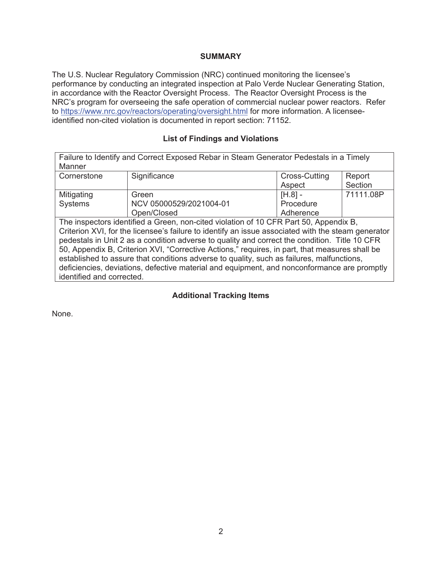#### **SUMMARY**

The U.S. Nuclear Regulatory Commission (NRC) continued monitoring the licensee's performance by conducting an integrated inspection at Palo Verde Nuclear Generating Station, in accordance with the Reactor Oversight Process. The Reactor Oversight Process is the NRC's program for overseeing the safe operation of commercial nuclear power reactors. Refer to https://www.nrc.gov/reactors/operating/oversight.html for more information. A licenseeidentified non-cited violation is documented in report section: 71152.

## **List of Findings and Violations**

|             | Failure to Identify and Correct Exposed Rebar in Steam Generator Pedestals in a Timely |                      |           |
|-------------|----------------------------------------------------------------------------------------|----------------------|-----------|
| Manner      |                                                                                        |                      |           |
| Cornerstone | Significance                                                                           | <b>Cross-Cutting</b> | Report    |
|             |                                                                                        | Aspect               | Section   |
| Mitigating  | Green                                                                                  | $[H.8]$ -            | 71111.08P |
| Systems     | NCV 05000529/2021004-01                                                                | Procedure            |           |
|             | Open/Closed                                                                            | Adherence            |           |
|             | The inspectors identified a Green, non-cited violation of 10 CFR Part 50, Appendix B,  |                      |           |

Criterion XVI, for the licensee's failure to identify an issue associated with the steam generator pedestals in Unit 2 as a condition adverse to quality and correct the condition. Title 10 CFR 50, Appendix B, Criterion XVI, "Corrective Actions," requires, in part, that measures shall be established to assure that conditions adverse to quality, such as failures, malfunctions, deficiencies, deviations, defective material and equipment, and nonconformance are promptly identified and corrected.

# **Additional Tracking Items**

None.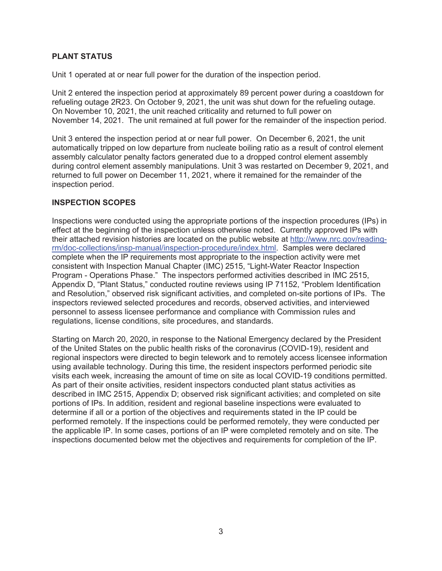## **PLANT STATUS**

Unit 1 operated at or near full power for the duration of the inspection period.

Unit 2 entered the inspection period at approximately 89 percent power during a coastdown for refueling outage 2R23. On October 9, 2021, the unit was shut down for the refueling outage. On November 10, 2021, the unit reached criticality and returned to full power on November 14, 2021. The unit remained at full power for the remainder of the inspection period.

Unit 3 entered the inspection period at or near full power. On December 6, 2021, the unit automatically tripped on low departure from nucleate boiling ratio as a result of control element assembly calculator penalty factors generated due to a dropped control element assembly during control element assembly manipulations. Unit 3 was restarted on December 9, 2021, and returned to full power on December 11, 2021, where it remained for the remainder of the inspection period.

## **INSPECTION SCOPES**

Inspections were conducted using the appropriate portions of the inspection procedures (IPs) in effect at the beginning of the inspection unless otherwise noted. Currently approved IPs with their attached revision histories are located on the public website at http://www.nrc.gov/readingrm/doc-collections/insp-manual/inspection-procedure/index.html. Samples were declared complete when the IP requirements most appropriate to the inspection activity were met consistent with Inspection Manual Chapter (IMC) 2515, "Light-Water Reactor Inspection Program - Operations Phase." The inspectors performed activities described in IMC 2515, Appendix D, "Plant Status," conducted routine reviews using IP 71152, "Problem Identification and Resolution," observed risk significant activities, and completed on-site portions of IPs. The inspectors reviewed selected procedures and records, observed activities, and interviewed personnel to assess licensee performance and compliance with Commission rules and regulations, license conditions, site procedures, and standards.

Starting on March 20, 2020, in response to the National Emergency declared by the President of the United States on the public health risks of the coronavirus (COVID-19), resident and regional inspectors were directed to begin telework and to remotely access licensee information using available technology. During this time, the resident inspectors performed periodic site visits each week, increasing the amount of time on site as local COVID-19 conditions permitted. As part of their onsite activities, resident inspectors conducted plant status activities as described in IMC 2515, Appendix D; observed risk significant activities; and completed on site portions of IPs. In addition, resident and regional baseline inspections were evaluated to determine if all or a portion of the objectives and requirements stated in the IP could be performed remotely. If the inspections could be performed remotely, they were conducted per the applicable IP. In some cases, portions of an IP were completed remotely and on site. The inspections documented below met the objectives and requirements for completion of the IP.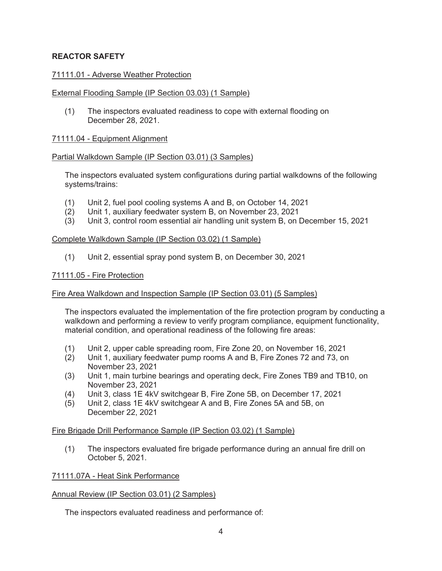## **REACTOR SAFETY**

#### 71111.01 - Adverse Weather Protection

#### External Flooding Sample (IP Section 03.03) (1 Sample)

(1) The inspectors evaluated readiness to cope with external flooding on December 28, 2021.

#### 71111.04 - Equipment Alignment

#### Partial Walkdown Sample (IP Section 03.01) (3 Samples)

The inspectors evaluated system configurations during partial walkdowns of the following systems/trains:

- (1) Unit 2, fuel pool cooling systems A and B, on October 14, 2021
- (2) Unit 1, auxiliary feedwater system B, on November 23, 2021
- $(3)$  Unit 3, control room essential air handling unit system B, on December 15, 2021

#### Complete Walkdown Sample (IP Section 03.02) (1 Sample)

(1) Unit 2, essential spray pond system B, on December 30, 2021

#### 71111.05 - Fire Protection

## Fire Area Walkdown and Inspection Sample (IP Section 03.01) (5 Samples)

The inspectors evaluated the implementation of the fire protection program by conducting a walkdown and performing a review to verify program compliance, equipment functionality, material condition, and operational readiness of the following fire areas:

- (1) Unit 2, upper cable spreading room, Fire Zone 20, on November 16, 2021
- (2) Unit 1, auxiliary feedwater pump rooms A and B, Fire Zones 72 and 73, on November 23, 2021
- (3) Unit 1, main turbine bearings and operating deck, Fire Zones TB9 and TB10, on November 23, 2021
- (4) Unit 3, class 1E 4kV switchgear B, Fire Zone 5B, on December 17, 2021
- (5) Unit 2, class 1E 4kV switchgear A and B, Fire Zones 5A and 5B, on December 22, 2021

#### Fire Brigade Drill Performance Sample (IP Section 03.02) (1 Sample)

(1) The inspectors evaluated fire brigade performance during an annual fire drill on October 5, 2021.

#### 71111.07A - Heat Sink Performance

#### Annual Review (IP Section 03.01) (2 Samples)

The inspectors evaluated readiness and performance of: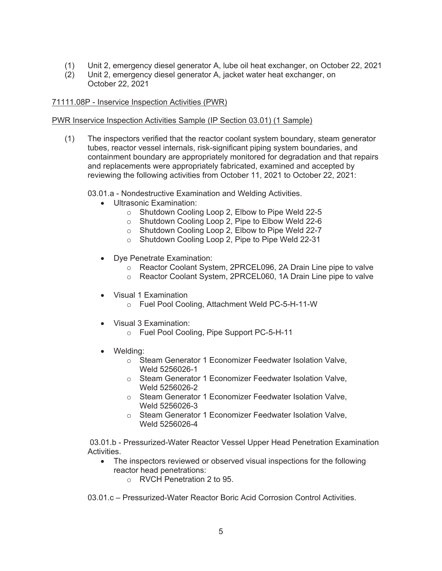- (1) Unit 2, emergency diesel generator A, lube oil heat exchanger, on October 22, 2021
- (2) Unit 2, emergency diesel generator A, jacket water heat exchanger, on October 22, 2021

#### 71111.08P - Inservice Inspection Activities (PWR)

PWR Inservice Inspection Activities Sample (IP Section 03.01) (1 Sample)

(1) The inspectors verified that the reactor coolant system boundary, steam generator tubes, reactor vessel internals, risk-significant piping system boundaries, and containment boundary are appropriately monitored for degradation and that repairs and replacements were appropriately fabricated, examined and accepted by reviewing the following activities from October 11, 2021 to October 22, 2021:

03.01.a - Nondestructive Examination and Welding Activities.

- Ultrasonic Examination:
	- o Shutdown Cooling Loop 2, Elbow to Pipe Weld 22-5
	- o Shutdown Cooling Loop 2, Pipe to Elbow Weld 22-6
	- o Shutdown Cooling Loop 2, Elbow to Pipe Weld 22-7
	- o Shutdown Cooling Loop 2, Pipe to Pipe Weld 22-31
- Dye Penetrate Examination:
	- o Reactor Coolant System, 2PRCEL096, 2A Drain Line pipe to valve
	- o Reactor Coolant System, 2PRCEL060, 1A Drain Line pipe to valve
- Visual 1 Examination
	- o Fuel Pool Cooling, Attachment Weld PC-5-H-11-W
- Visual 3 Examination:
	- o Fuel Pool Cooling, Pipe Support PC-5-H-11
- Welding:
	- o Steam Generator 1 Economizer Feedwater Isolation Valve, Weld 5256026-1
	- o Steam Generator 1 Economizer Feedwater Isolation Valve, Weld 5256026-2
	- o Steam Generator 1 Economizer Feedwater Isolation Valve, Weld 5256026-3
	- o Steam Generator 1 Economizer Feedwater Isolation Valve, Weld 5256026-4

 03.01.b - Pressurized-Water Reactor Vessel Upper Head Penetration Examination Activities.

- The inspectors reviewed or observed visual inspections for the following reactor head penetrations:
	- o RVCH Penetration 2 to 95.

03.01.c – Pressurized-Water Reactor Boric Acid Corrosion Control Activities.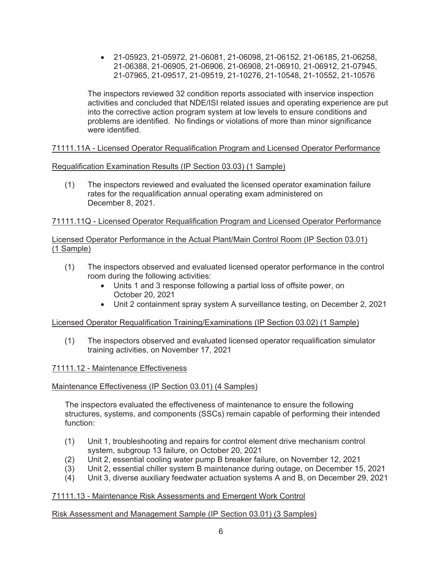• 21-05923, 21-05972, 21-06081, 21-06098, 21-06152, 21-06185, 21-06258, 21-06388, 21-06905, 21-06906, 21-06908, 21-06910, 21-06912, 21-07945, 21-07965, 21-09517, 21-09519, 21-10276, 21-10548, 21-10552, 21-10576

The inspectors reviewed 32 condition reports associated with inservice inspection activities and concluded that NDE/ISI related issues and operating experience are put into the corrective action program system at low levels to ensure conditions and problems are identified. No findings or violations of more than minor significance were identified.

# 71111.11A - Licensed Operator Requalification Program and Licensed Operator Performance

Requalification Examination Results (IP Section 03.03) (1 Sample)

(1) The inspectors reviewed and evaluated the licensed operator examination failure rates for the requalification annual operating exam administered on December 8, 2021.

# 71111.11Q - Licensed Operator Requalification Program and Licensed Operator Performance

## Licensed Operator Performance in the Actual Plant/Main Control Room (IP Section 03.01) (1 Sample)

- (1) The inspectors observed and evaluated licensed operator performance in the control room during the following activities:
	- Units 1 and 3 response following a partial loss of offsite power, on October 20, 2021
	- Unit 2 containment spray system A surveillance testing, on December 2, 2021

# Licensed Operator Requalification Training/Examinations (IP Section 03.02) (1 Sample)

(1) The inspectors observed and evaluated licensed operator requalification simulator training activities, on November 17, 2021

# 71111.12 - Maintenance Effectiveness

# Maintenance Effectiveness (IP Section 03.01) (4 Samples)

The inspectors evaluated the effectiveness of maintenance to ensure the following structures, systems, and components (SSCs) remain capable of performing their intended function:

- (1) Unit 1, troubleshooting and repairs for control element drive mechanism control system, subgroup 13 failure, on October 20, 2021
- (2) Unit 2, essential cooling water pump B breaker failure, on November 12, 2021
- (3) Unit 2, essential chiller system B maintenance during outage, on December 15, 2021
- (4) Unit 3, diverse auxiliary feedwater actuation systems A and B, on December 29, 2021

# 71111.13 - Maintenance Risk Assessments and Emergent Work Control

# Risk Assessment and Management Sample (IP Section 03.01) (3 Samples)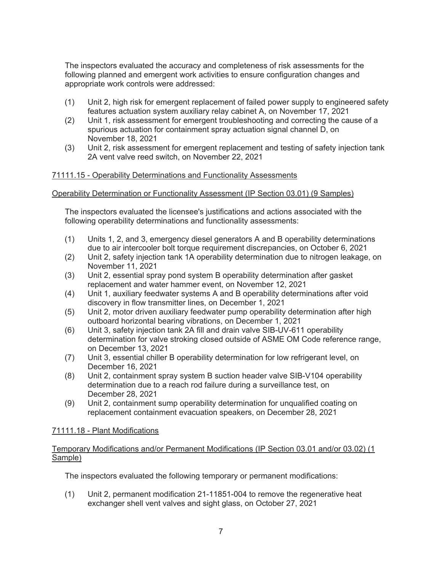The inspectors evaluated the accuracy and completeness of risk assessments for the following planned and emergent work activities to ensure configuration changes and appropriate work controls were addressed:

- (1) Unit 2, high risk for emergent replacement of failed power supply to engineered safety features actuation system auxiliary relay cabinet A, on November 17, 2021
- (2) Unit 1, risk assessment for emergent troubleshooting and correcting the cause of a spurious actuation for containment spray actuation signal channel D, on November 18, 2021
- (3) Unit 2, risk assessment for emergent replacement and testing of safety injection tank 2A vent valve reed switch, on November 22, 2021

## 71111.15 - Operability Determinations and Functionality Assessments

#### Operability Determination or Functionality Assessment (IP Section 03.01) (9 Samples)

The inspectors evaluated the licensee's justifications and actions associated with the following operability determinations and functionality assessments:

- (1) Units 1, 2, and 3, emergency diesel generators A and B operability determinations due to air intercooler bolt torque requirement discrepancies, on October 6, 2021
- (2) Unit 2, safety injection tank 1A operability determination due to nitrogen leakage, on November 11, 2021
- (3) Unit 2, essential spray pond system B operability determination after gasket replacement and water hammer event, on November 12, 2021
- (4) Unit 1, auxiliary feedwater systems A and B operability determinations after void discovery in flow transmitter lines, on December 1, 2021
- (5) Unit 2, motor driven auxiliary feedwater pump operability determination after high outboard horizontal bearing vibrations, on December 1, 2021
- (6) Unit 3, safety injection tank 2A fill and drain valve SIB-UV-611 operability determination for valve stroking closed outside of ASME OM Code reference range, on December 13, 2021
- (7) Unit 3, essential chiller B operability determination for low refrigerant level, on December 16, 2021
- (8) Unit 2, containment spray system B suction header valve SIB-V104 operability determination due to a reach rod failure during a surveillance test, on December 28, 2021
- (9) Unit 2, containment sump operability determination for unqualified coating on replacement containment evacuation speakers, on December 28, 2021

## 71111.18 - Plant Modifications

#### Temporary Modifications and/or Permanent Modifications (IP Section 03.01 and/or 03.02) (1 Sample)

The inspectors evaluated the following temporary or permanent modifications:

(1) Unit 2, permanent modification 21-11851-004 to remove the regenerative heat exchanger shell vent valves and sight glass, on October 27, 2021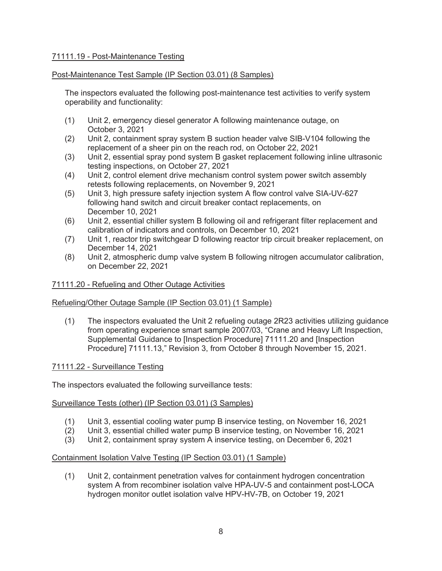## 71111.19 - Post-Maintenance Testing

## Post-Maintenance Test Sample (IP Section 03.01) (8 Samples)

The inspectors evaluated the following post-maintenance test activities to verify system operability and functionality:

- (1) Unit 2, emergency diesel generator A following maintenance outage, on October 3, 2021
- (2) Unit 2, containment spray system B suction header valve SIB-V104 following the replacement of a sheer pin on the reach rod, on October 22, 2021
- (3) Unit 2, essential spray pond system B gasket replacement following inline ultrasonic testing inspections, on October 27, 2021
- (4) Unit 2, control element drive mechanism control system power switch assembly retests following replacements, on November 9, 2021
- (5) Unit 3, high pressure safety injection system A flow control valve SIA-UV-627 following hand switch and circuit breaker contact replacements, on December 10, 2021
- (6) Unit 2, essential chiller system B following oil and refrigerant filter replacement and calibration of indicators and controls, on December 10, 2021
- (7) Unit 1, reactor trip switchgear D following reactor trip circuit breaker replacement, on December 14, 2021
- (8) Unit 2, atmospheric dump valve system B following nitrogen accumulator calibration, on December 22, 2021

#### 71111.20 - Refueling and Other Outage Activities

#### Refueling/Other Outage Sample (IP Section 03.01) (1 Sample)

(1) The inspectors evaluated the Unit 2 refueling outage 2R23 activities utilizing guidance from operating experience smart sample 2007/03, "Crane and Heavy Lift Inspection, Supplemental Guidance to [Inspection Procedure] 71111.20 and [Inspection Procedure] 71111.13," Revision 3, from October 8 through November 15, 2021.

#### 71111.22 - Surveillance Testing

The inspectors evaluated the following surveillance tests:

#### Surveillance Tests (other) (IP Section 03.01) (3 Samples)

- (1) Unit 3, essential cooling water pump B inservice testing, on November 16, 2021
- (2) Unit 3, essential chilled water pump B inservice testing, on November 16, 2021
- (3) Unit 2, containment spray system A inservice testing, on December 6, 2021

#### Containment Isolation Valve Testing (IP Section 03.01) (1 Sample)

(1) Unit 2, containment penetration valves for containment hydrogen concentration system A from recombiner isolation valve HPA-UV-5 and containment post-LOCA hydrogen monitor outlet isolation valve HPV-HV-7B, on October 19, 2021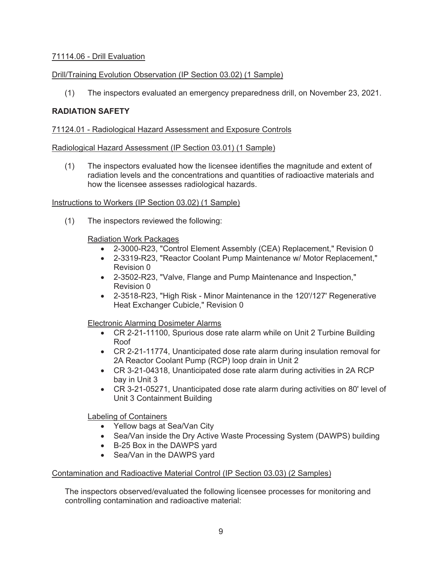## 71114.06 - Drill Evaluation

## Drill/Training Evolution Observation (IP Section 03.02) (1 Sample)

(1) The inspectors evaluated an emergency preparedness drill, on November 23, 2021.

## **RADIATION SAFETY**

#### 71124.01 - Radiological Hazard Assessment and Exposure Controls

#### Radiological Hazard Assessment (IP Section 03.01) (1 Sample)

(1) The inspectors evaluated how the licensee identifies the magnitude and extent of radiation levels and the concentrations and quantities of radioactive materials and how the licensee assesses radiological hazards.

#### Instructions to Workers (IP Section 03.02) (1 Sample)

(1) The inspectors reviewed the following:

#### Radiation Work Packages

- 2-3000-R23, "Control Element Assembly (CEA) Replacement," Revision 0
- 2-3319-R23, "Reactor Coolant Pump Maintenance w/ Motor Replacement," Revision 0
- 2-3502-R23, "Valve, Flange and Pump Maintenance and Inspection," Revision 0
- 2-3518-R23, "High Risk Minor Maintenance in the 120'/127' Regenerative Heat Exchanger Cubicle," Revision 0

## Electronic Alarming Dosimeter Alarms

- CR 2-21-11100, Spurious dose rate alarm while on Unit 2 Turbine Building Roof
- CR 2-21-11774, Unanticipated dose rate alarm during insulation removal for 2A Reactor Coolant Pump (RCP) loop drain in Unit 2
- CR 3-21-04318, Unanticipated dose rate alarm during activities in 2A RCP bay in Unit 3
- CR 3-21-05271, Unanticipated dose rate alarm during activities on 80' level of Unit 3 Containment Building

Labeling of Containers

- Yellow bags at Sea/Van City
- Sea/Van inside the Dry Active Waste Processing System (DAWPS) building
- B-25 Box in the DAWPS yard
- Sea/Van in the DAWPS yard

## Contamination and Radioactive Material Control (IP Section 03.03) (2 Samples)

The inspectors observed/evaluated the following licensee processes for monitoring and controlling contamination and radioactive material: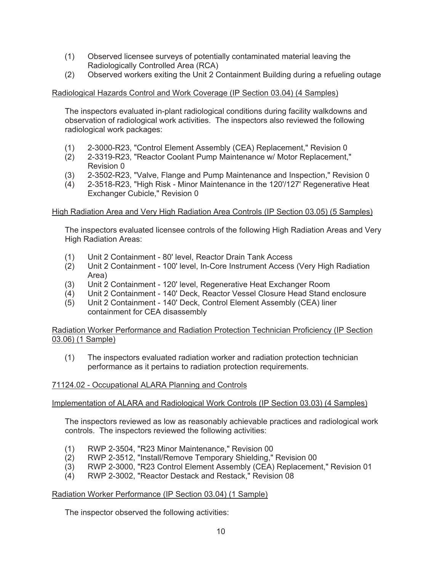- (1) Observed licensee surveys of potentially contaminated material leaving the Radiologically Controlled Area (RCA)
- (2) Observed workers exiting the Unit 2 Containment Building during a refueling outage

## Radiological Hazards Control and Work Coverage (IP Section 03.04) (4 Samples)

The inspectors evaluated in-plant radiological conditions during facility walkdowns and observation of radiological work activities. The inspectors also reviewed the following radiological work packages:

- (1) 2-3000-R23, "Control Element Assembly (CEA) Replacement," Revision 0
- (2) 2-3319-R23, "Reactor Coolant Pump Maintenance w/ Motor Replacement," Revision 0
- (3) 2-3502-R23, "Valve, Flange and Pump Maintenance and Inspection," Revision 0
- (4) 2-3518-R23, "High Risk Minor Maintenance in the 120'/127' Regenerative Heat Exchanger Cubicle," Revision 0

## High Radiation Area and Very High Radiation Area Controls (IP Section 03.05) (5 Samples)

The inspectors evaluated licensee controls of the following High Radiation Areas and Very High Radiation Areas:

- (1) Unit 2 Containment 80' level, Reactor Drain Tank Access
- (2) Unit 2 Containment 100' level, In-Core Instrument Access (Very High Radiation Area)
- (3) Unit 2 Containment 120' level, Regenerative Heat Exchanger Room
- (4) Unit 2 Containment 140' Deck, Reactor Vessel Closure Head Stand enclosure
- (5) Unit 2 Containment 140' Deck, Control Element Assembly (CEA) liner containment for CEA disassembly

Radiation Worker Performance and Radiation Protection Technician Proficiency (IP Section 03.06) (1 Sample)

(1) The inspectors evaluated radiation worker and radiation protection technician performance as it pertains to radiation protection requirements.

## 71124.02 - Occupational ALARA Planning and Controls

Implementation of ALARA and Radiological Work Controls (IP Section 03.03) (4 Samples)

The inspectors reviewed as low as reasonably achievable practices and radiological work controls. The inspectors reviewed the following activities:

- (1) RWP 2-3504, "R23 Minor Maintenance," Revision 00
- (2) RWP 2-3512, "Install/Remove Temporary Shielding," Revision 00
- (3) RWP 2-3000, "R23 Control Element Assembly (CEA) Replacement," Revision 01
- (4) RWP 2-3002, "Reactor Destack and Restack," Revision 08

#### Radiation Worker Performance (IP Section 03.04) (1 Sample)

The inspector observed the following activities: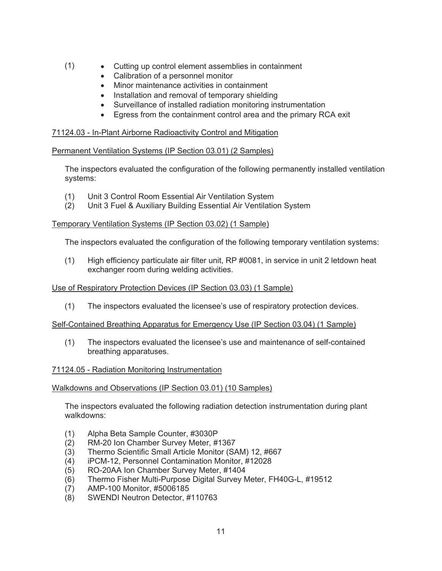- (1) Cutting up control element assemblies in containment
	- Calibration of a personnel monitor
	- Minor maintenance activities in containment
	- Installation and removal of temporary shielding
	- Surveillance of installed radiation monitoring instrumentation
	- Egress from the containment control area and the primary RCA exit

# 71124.03 - In-Plant Airborne Radioactivity Control and Mitigation

# Permanent Ventilation Systems (IP Section 03.01) (2 Samples)

The inspectors evaluated the configuration of the following permanently installed ventilation systems:

- (1) Unit 3 Control Room Essential Air Ventilation System
- (2) Unit 3 Fuel & Auxiliary Building Essential Air Ventilation System

## Temporary Ventilation Systems (IP Section 03.02) (1 Sample)

The inspectors evaluated the configuration of the following temporary ventilation systems:

(1) High efficiency particulate air filter unit, RP #0081, in service in unit 2 letdown heat exchanger room during welding activities.

# Use of Respiratory Protection Devices (IP Section 03.03) (1 Sample)

(1) The inspectors evaluated the licensee's use of respiratory protection devices.

## Self-Contained Breathing Apparatus for Emergency Use (IP Section 03.04) (1 Sample)

(1) The inspectors evaluated the licensee's use and maintenance of self-contained breathing apparatuses.

## 71124.05 - Radiation Monitoring Instrumentation

## Walkdowns and Observations (IP Section 03.01) (10 Samples)

The inspectors evaluated the following radiation detection instrumentation during plant walkdowns:

- (1) Alpha Beta Sample Counter, #3030P
- (2) RM-20 Ion Chamber Survey Meter, #1367
- (3) Thermo Scientific Small Article Monitor (SAM) 12, #667
- (4) iPCM-12, Personnel Contamination Monitor, #12028
- (5) RO-20AA Ion Chamber Survey Meter, #1404
- (6) Thermo Fisher Multi-Purpose Digital Survey Meter, FH40G-L, #19512
- (7) AMP-100 Monitor, #5006185
- (8) SWENDI Neutron Detector, #110763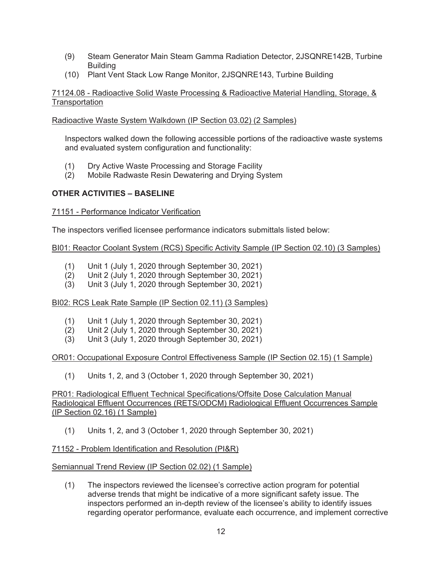- (9) Steam Generator Main Steam Gamma Radiation Detector, 2JSQNRE142B, Turbine Building
- (10) Plant Vent Stack Low Range Monitor, 2JSQNRE143, Turbine Building

71124.08 - Radioactive Solid Waste Processing & Radioactive Material Handling, Storage, & **Transportation** 

Radioactive Waste System Walkdown (IP Section 03.02) (2 Samples)

Inspectors walked down the following accessible portions of the radioactive waste systems and evaluated system configuration and functionality:

- (1) Dry Active Waste Processing and Storage Facility
- (2) Mobile Radwaste Resin Dewatering and Drying System

# **OTHER ACTIVITIES – BASELINE**

## 71151 - Performance Indicator Verification

The inspectors verified licensee performance indicators submittals listed below:

## BI01: Reactor Coolant System (RCS) Specific Activity Sample (IP Section 02.10) (3 Samples)

- (1) Unit 1 (July 1, 2020 through September 30, 2021)
- (2) Unit 2 (July 1, 2020 through September 30, 2021)
- (3) Unit 3 (July 1, 2020 through September 30, 2021)

BI02: RCS Leak Rate Sample (IP Section 02.11) (3 Samples)

- (1) Unit 1 (July 1, 2020 through September 30, 2021)
- (2) Unit 2 (July 1, 2020 through September 30, 2021)
- (3) Unit 3 (July 1, 2020 through September 30, 2021)

## OR01: Occupational Exposure Control Effectiveness Sample (IP Section 02.15) (1 Sample)

(1) Units 1, 2, and 3 (October 1, 2020 through September 30, 2021)

PR01: Radiological Effluent Technical Specifications/Offsite Dose Calculation Manual Radiological Effluent Occurrences (RETS/ODCM) Radiological Effluent Occurrences Sample (IP Section 02.16) (1 Sample)

(1) Units 1, 2, and 3 (October 1, 2020 through September 30, 2021)

## 71152 - Problem Identification and Resolution (PI&R)

## Semiannual Trend Review (IP Section 02.02) (1 Sample)

(1) The inspectors reviewed the licensee's corrective action program for potential adverse trends that might be indicative of a more significant safety issue. The inspectors performed an in-depth review of the licensee's ability to identify issues regarding operator performance, evaluate each occurrence, and implement corrective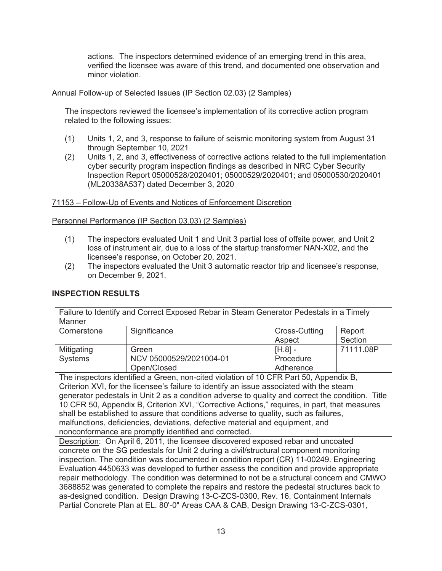actions. The inspectors determined evidence of an emerging trend in this area, verified the licensee was aware of this trend, and documented one observation and minor violation.

## Annual Follow-up of Selected Issues (IP Section 02.03) (2 Samples)

The inspectors reviewed the licensee's implementation of its corrective action program related to the following issues:

- (1) Units 1, 2, and 3, response to failure of seismic monitoring system from August 31 through September 10, 2021
- (2) Units 1, 2, and 3, effectiveness of corrective actions related to the full implementation cyber security program inspection findings as described in NRC Cyber Security Inspection Report 05000528/2020401; 05000529/2020401; and 05000530/2020401 (ML20338A537) dated December 3, 2020

## 71153 – Follow-Up of Events and Notices of Enforcement Discretion

## Personnel Performance (IP Section 03.03) (2 Samples)

- (1) The inspectors evaluated Unit 1 and Unit 3 partial loss of offsite power, and Unit 2 loss of instrument air, due to a loss of the startup transformer NAN-X02, and the licensee's response, on October 20, 2021.
- (2) The inspectors evaluated the Unit 3 automatic reactor trip and licensee's response, on December 9, 2021.

## **INSPECTION RESULTS**

| Manner         | Failure to Identify and Correct Exposed Rebar in Steam Generator Pedestals in a Timely           |               |           |
|----------------|--------------------------------------------------------------------------------------------------|---------------|-----------|
| Cornerstone    | Significance                                                                                     | Cross-Cutting | Report    |
|                |                                                                                                  | Aspect        | Section   |
| Mitigating     | Green                                                                                            | $[H.8] -$     | 71111.08P |
| <b>Systems</b> | NCV 05000529/2021004-01                                                                          | Procedure     |           |
|                | Open/Closed                                                                                      | Adherence     |           |
|                | The inspectors identified a Green, non-cited violation of 10 CFR Part 50, Appendix B,            |               |           |
|                | Criterion XVI, for the licensee's failure to identify an issue associated with the steam         |               |           |
|                | generator pedestals in Unit 2 as a condition adverse to quality and correct the condition. Title |               |           |
|                | 10 CFR 50, Appendix B, Criterion XVI, "Corrective Actions," requires, in part, that measures     |               |           |
|                | shall be established to assure that conditions adverse to quality, such as failures,             |               |           |
|                | malfunctions, deficiencies, deviations, defective material and equipment, and                    |               |           |
|                | nonconformance are promptly identified and corrected.                                            |               |           |
|                | Description: On April 6, 2011, the licensee discovered exposed rebar and uncoated                |               |           |
|                | concrete on the SG pedestals for Unit 2 during a civil/structural component monitoring           |               |           |
|                | inspection. The condition was documented in condition report (CR) 11-00249. Engineering          |               |           |
|                | Evaluation 4450633 was developed to further assess the condition and provide appropriate         |               |           |
|                | repair methodology. The condition was determined to not be a structural concern and CMWO         |               |           |
|                | 3688852 was generated to complete the repairs and restore the pedestal structures back to        |               |           |
|                | as-designed condition. Design Drawing 13-C-ZCS-0300, Rev. 16, Containment Internals              |               |           |
|                | Partial Concrete Plan at EL. 80'-0" Areas CAA & CAB, Design Drawing 13-C-ZCS-0301,               |               |           |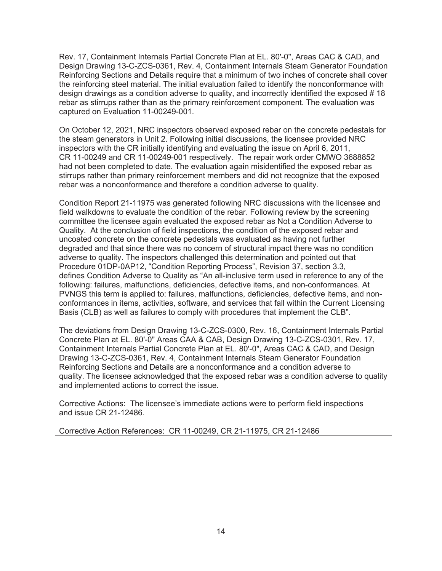Rev. 17, Containment Internals Partial Concrete Plan at EL. 80'-0", Areas CAC & CAD, and Design Drawing 13-C-ZCS-0361, Rev. 4, Containment Internals Steam Generator Foundation Reinforcing Sections and Details require that a minimum of two inches of concrete shall cover the reinforcing steel material. The initial evaluation failed to identify the nonconformance with design drawings as a condition adverse to quality, and incorrectly identified the exposed # 18 rebar as stirrups rather than as the primary reinforcement component. The evaluation was captured on Evaluation 11-00249-001.

On October 12, 2021, NRC inspectors observed exposed rebar on the concrete pedestals for the steam generators in Unit 2. Following initial discussions, the licensee provided NRC inspectors with the CR initially identifying and evaluating the issue on April 6, 2011, CR 11-00249 and CR 11-00249-001 respectively. The repair work order CMWO 3688852 had not been completed to date. The evaluation again misidentified the exposed rebar as stirrups rather than primary reinforcement members and did not recognize that the exposed rebar was a nonconformance and therefore a condition adverse to quality.

Condition Report 21-11975 was generated following NRC discussions with the licensee and field walkdowns to evaluate the condition of the rebar. Following review by the screening committee the licensee again evaluated the exposed rebar as Not a Condition Adverse to Quality. At the conclusion of field inspections, the condition of the exposed rebar and uncoated concrete on the concrete pedestals was evaluated as having not further degraded and that since there was no concern of structural impact there was no condition adverse to quality. The inspectors challenged this determination and pointed out that Procedure 01DP-0AP12, "Condition Reporting Process", Revision 37, section 3.3, defines Condition Adverse to Quality as "An all-inclusive term used in reference to any of the following: failures, malfunctions, deficiencies, defective items, and non-conformances. At PVNGS this term is applied to: failures, malfunctions, deficiencies, defective items, and nonconformances in items, activities, software, and services that fall within the Current Licensing Basis (CLB) as well as failures to comply with procedures that implement the CLB".

The deviations from Design Drawing 13-C-ZCS-0300, Rev. 16, Containment Internals Partial Concrete Plan at EL. 80'-0" Areas CAA & CAB, Design Drawing 13-C-ZCS-0301, Rev. 17, Containment Internals Partial Concrete Plan at EL. 80'-0", Areas CAC & CAD, and Design Drawing 13-C-ZCS-0361, Rev. 4, Containment Internals Steam Generator Foundation Reinforcing Sections and Details are a nonconformance and a condition adverse to quality. The licensee acknowledged that the exposed rebar was a condition adverse to quality and implemented actions to correct the issue.

Corrective Actions: The licensee's immediate actions were to perform field inspections and issue CR 21-12486.

Corrective Action References: CR 11-00249, CR 21-11975, CR 21-12486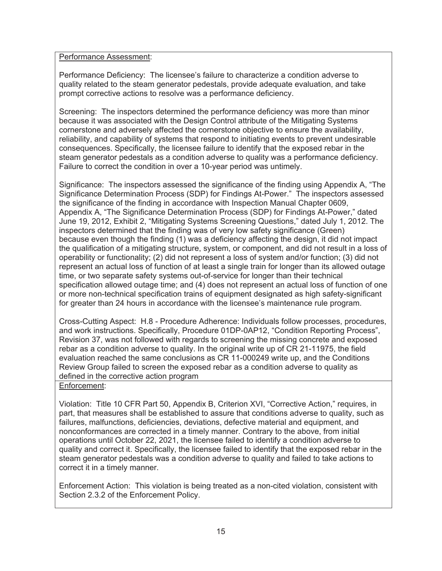#### Performance Assessment:

Performance Deficiency: The licensee's failure to characterize a condition adverse to quality related to the steam generator pedestals, provide adequate evaluation, and take prompt corrective actions to resolve was a performance deficiency.

Screening: The inspectors determined the performance deficiency was more than minor because it was associated with the Design Control attribute of the Mitigating Systems cornerstone and adversely affected the cornerstone objective to ensure the availability, reliability, and capability of systems that respond to initiating events to prevent undesirable consequences. Specifically, the licensee failure to identify that the exposed rebar in the steam generator pedestals as a condition adverse to quality was a performance deficiency. Failure to correct the condition in over a 10-year period was untimely.

Significance: The inspectors assessed the significance of the finding using Appendix A, "The Significance Determination Process (SDP) for Findings At-Power." The inspectors assessed the significance of the finding in accordance with Inspection Manual Chapter 0609, Appendix A, "The Significance Determination Process (SDP) for Findings At-Power," dated June 19, 2012, Exhibit 2, "Mitigating Systems Screening Questions," dated July 1, 2012. The inspectors determined that the finding was of very low safety significance (Green) because even though the finding (1) was a deficiency affecting the design, it did not impact the qualification of a mitigating structure, system, or component, and did not result in a loss of operability or functionality; (2) did not represent a loss of system and/or function; (3) did not represent an actual loss of function of at least a single train for longer than its allowed outage time, or two separate safety systems out-of-service for longer than their technical specification allowed outage time; and (4) does not represent an actual loss of function of one or more non-technical specification trains of equipment designated as high safety-significant for greater than 24 hours in accordance with the licensee's maintenance rule program.

Cross-Cutting Aspect: H.8 - Procedure Adherence: Individuals follow processes, procedures, and work instructions. Specifically, Procedure 01DP-0AP12, "Condition Reporting Process", Revision 37, was not followed with regards to screening the missing concrete and exposed rebar as a condition adverse to quality. In the original write up of CR 21-11975, the field evaluation reached the same conclusions as CR 11-000249 write up, and the Conditions Review Group failed to screen the exposed rebar as a condition adverse to quality as defined in the corrective action program

## Enforcement:

Violation: Title 10 CFR Part 50, Appendix B, Criterion XVI, "Corrective Action," requires, in part, that measures shall be established to assure that conditions adverse to quality, such as failures, malfunctions, deficiencies, deviations, defective material and equipment, and nonconformances are corrected in a timely manner. Contrary to the above, from initial operations until October 22, 2021, the licensee failed to identify a condition adverse to quality and correct it. Specifically, the licensee failed to identify that the exposed rebar in the steam generator pedestals was a condition adverse to quality and failed to take actions to correct it in a timely manner.

Enforcement Action: This violation is being treated as a non-cited violation, consistent with Section 2.3.2 of the Enforcement Policy.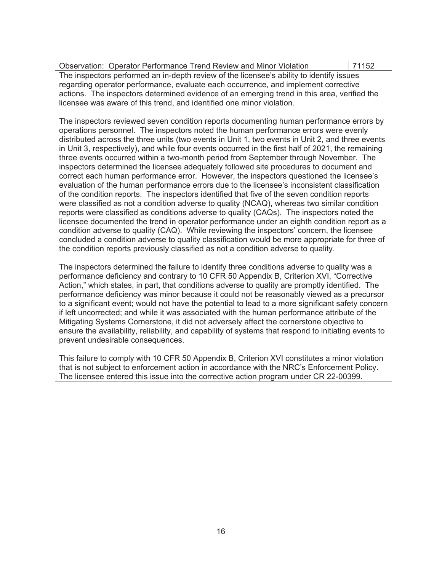Observation: Operator Performance Trend Review and Minor Violation 71152 The inspectors performed an in-depth review of the licensee's ability to identify issues regarding operator performance, evaluate each occurrence, and implement corrective actions. The inspectors determined evidence of an emerging trend in this area, verified the licensee was aware of this trend, and identified one minor violation.

The inspectors reviewed seven condition reports documenting human performance errors by operations personnel. The inspectors noted the human performance errors were evenly distributed across the three units (two events in Unit 1, two events in Unit 2, and three events in Unit 3, respectively), and while four events occurred in the first half of 2021, the remaining three events occurred within a two-month period from September through November. The inspectors determined the licensee adequately followed site procedures to document and correct each human performance error. However, the inspectors questioned the licensee's evaluation of the human performance errors due to the licensee's inconsistent classification of the condition reports. The inspectors identified that five of the seven condition reports were classified as not a condition adverse to quality (NCAQ), whereas two similar condition reports were classified as conditions adverse to quality (CAQs). The inspectors noted the licensee documented the trend in operator performance under an eighth condition report as a condition adverse to quality (CAQ). While reviewing the inspectors' concern, the licensee concluded a condition adverse to quality classification would be more appropriate for three of the condition reports previously classified as not a condition adverse to quality.

The inspectors determined the failure to identify three conditions adverse to quality was a performance deficiency and contrary to 10 CFR 50 Appendix B, Criterion XVI, "Corrective Action," which states, in part, that conditions adverse to quality are promptly identified. The performance deficiency was minor because it could not be reasonably viewed as a precursor to a significant event; would not have the potential to lead to a more significant safety concern if left uncorrected; and while it was associated with the human performance attribute of the Mitigating Systems Cornerstone, it did not adversely affect the cornerstone objective to ensure the availability, reliability, and capability of systems that respond to initiating events to prevent undesirable consequences.

This failure to comply with 10 CFR 50 Appendix B, Criterion XVI constitutes a minor violation that is not subject to enforcement action in accordance with the NRC's Enforcement Policy. The licensee entered this issue into the corrective action program under CR 22-00399.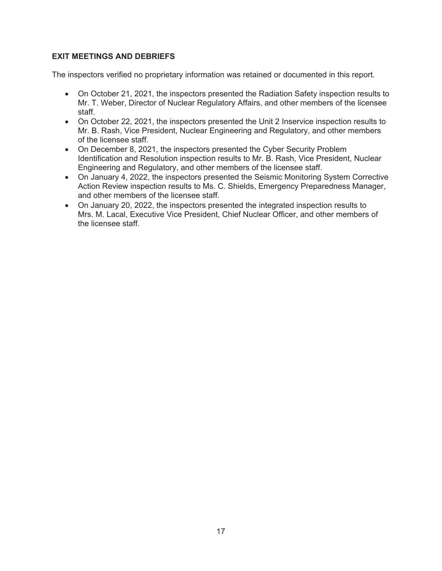# **EXIT MEETINGS AND DEBRIEFS**

The inspectors verified no proprietary information was retained or documented in this report.

- On October 21, 2021, the inspectors presented the Radiation Safety inspection results to Mr. T. Weber, Director of Nuclear Regulatory Affairs, and other members of the licensee staff.
- On October 22, 2021, the inspectors presented the Unit 2 Inservice inspection results to Mr. B. Rash, Vice President, Nuclear Engineering and Regulatory, and other members of the licensee staff.
- On December 8, 2021, the inspectors presented the Cyber Security Problem Identification and Resolution inspection results to Mr. B. Rash, Vice President, Nuclear Engineering and Regulatory, and other members of the licensee staff.
- On January 4, 2022, the inspectors presented the Seismic Monitoring System Corrective Action Review inspection results to Ms. C. Shields, Emergency Preparedness Manager, and other members of the licensee staff.
- On January 20, 2022, the inspectors presented the integrated inspection results to Mrs. M. Lacal, Executive Vice President, Chief Nuclear Officer, and other members of the licensee staff.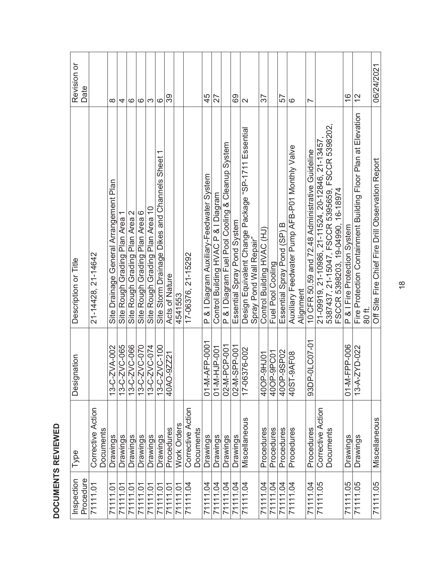| Inspection | Type                           | gnation<br>Desi       | Description or Title                                                           | Revision or              |
|------------|--------------------------------|-----------------------|--------------------------------------------------------------------------------|--------------------------|
| Procedure  |                                |                       |                                                                                | Date                     |
| 71111.01   | Corrective Action<br>Documents |                       | 21-14428, 21-14642                                                             |                          |
| 71111.01   | Drawings                       | 13-C-ZVA-002          | Site Drainage General Arrangement Plan                                         | ∞                        |
| 71111.01   | <b>Drawings</b>                | 13-C-ZVC-065          | Site Rough Grading Plan Area 1                                                 | 4                        |
| 71111.01   | <b>Drawings</b>                | 13-C-ZVC-066          | Site Rough Grading Plan Area 2                                                 | ဖ                        |
| 71111.01   | Drawings                       | 13-C-ZVC-070          | Site Rough Grading Plan Area 6                                                 | ဖ                        |
| 7111.01    | Drawings                       | 13-C-ZVC-074          | Site Rough Grading Plan Area 10                                                | က                        |
| 71111.01   | Drawings                       | 13-C-ZVC-100          | Site Storm Drainage Dikes and Channels Sheet 1                                 | ဖ                        |
| 71111.01   | Procedures                     | 40AO-9ZZ21            | Acts of Nature                                                                 | 39                       |
| 71111.01   | Work Orders                    |                       | 4541553                                                                        |                          |
| 71111.04   | Corrective Action              |                       | 17-06376, 21-15292                                                             |                          |
|            | <b>Documents</b>               |                       |                                                                                |                          |
| 71111.04   | Drawings                       | 01-M-AFP-0001         | P & I Diagram Auxiliary-Feedwater System                                       | 45                       |
| 71111.04   | Drawings                       | 01-M-HJP-001          | Control Building HVAC P & I Diagram                                            | 27                       |
| 71111.04   | Drawings                       | 02-M-PCP-001          | P & I Diagram Fuel Pool Cooling & Cleanup System                               |                          |
| 71111.04   | <b>Drawings</b>                | 02-M-SPP-001          | Essential Spray Pond System                                                    | 69                       |
| 71111.04   | Miscellaneous                  | 6376-002<br>$-5 - 11$ | Design Equivalent Change Package "SP-1711 Essential<br>Spray Pond Wall Repair" | $\mathbf{\Omega}$        |
| 71111.04   | Procedures                     | P-9HJ01<br>40OH       | Control Building HVAC (HJ)                                                     | 57                       |
| 71111.04   | Procedures                     | 400P-9PC01            | Fuel Pool Cooling                                                              |                          |
| 71111.04   | Procedures                     | 40OP-9SP02            | Essential Spray Pond (SP) B                                                    | 57                       |
| 71111.04   | Procedures                     | 40ST-9AF08            | Auxiliary Feedwater Pump AFB-P01 Monthly Valve                                 | ဖ                        |
|            |                                |                       | Alignment                                                                      |                          |
| 71111.04   | Procedures                     | P-0LC07-01<br>93DF    | 10 CFR 50.59 and 72.48 Administrative Guideline                                | $\overline{\phantom{0}}$ |
| 71111.05   | Corrective Action              |                       | 21-09919, 21-10986, 21-11524, 20-12846, 21-13457                               |                          |
|            | Documents                      |                       | 5387437, 21-15047, FSCCR 5395659, FSCCR 5398202,                               |                          |
|            |                                |                       | FSCCR 5398203, 19-04990, 16-18974                                              |                          |
| 71111.05   | <b>Drawings</b>                | 01-M-FPP-006          | P & I Fire Protection System                                                   | $\frac{6}{5}$            |
| 71111.05   | Drawings                       | 13-A-ZYD-022          | Fire Protection Containment Building Floor Plan at Elevation                   | 27                       |
|            |                                |                       | 80 ft                                                                          |                          |
| 71111.05   | Miscellaneous                  |                       | Off Site Fire Chief Fire Drill Observation Report                              | 06/24/2021               |

# DOCUMENTS REVIEWED **DOCUMENTS REVIEWED**

J

٦

т

Τ т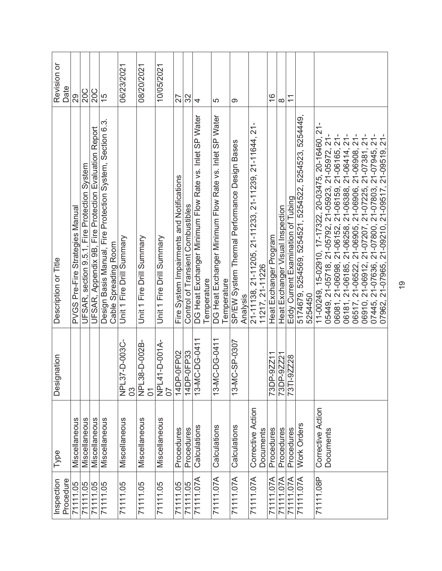| Inspection<br>Procedure | Type                           | Designation             | Description or Title                                                                                                                                                                                                                                                                    | Revision or<br>Date            |
|-------------------------|--------------------------------|-------------------------|-----------------------------------------------------------------------------------------------------------------------------------------------------------------------------------------------------------------------------------------------------------------------------------------|--------------------------------|
| 71111.05                | Miscellaneous                  |                         | PVGS Pre-Fire Strategies Manual                                                                                                                                                                                                                                                         | 29                             |
| 71111.05                | Miscellaneous                  |                         | UFSAR, section 9.5.1, Fire Protection System                                                                                                                                                                                                                                            | <b>20C</b>                     |
| 71111.05                | Miscellaneous                  |                         | UFSAR, Appendix 9B, Fire Protection Evaluation Report                                                                                                                                                                                                                                   | 20C                            |
| 71111.05                | Miscellaneous                  |                         | Design Basis Manual, Fire Protection System, Section 6.3.<br>Cable Spreading Room                                                                                                                                                                                                       | 15                             |
| 71111.05                | Miscellaneous                  | NPL37-D-003C-<br>30     | Unit 1 Fire Drill Summary                                                                                                                                                                                                                                                               | 06/23/2021                     |
| 71111.05                | Miscellaneous                  | NPL38-D-002B-<br>$\sum$ | Unit 1 Fire Drill Summary                                                                                                                                                                                                                                                               | 08/20/2021                     |
| 71111.05                | Miscellaneous                  | NPL41-D-001A-<br>07     | Unit 1 Fire Drill Summary                                                                                                                                                                                                                                                               | 10/05/2021                     |
| 71111.05                | Procedures                     | 14DP-0FP02              | Fire System Impairments and Notifications                                                                                                                                                                                                                                               | 27                             |
| 71111.05                | Procedures                     | 14DP-0FP33              | Control of Transient Combustibles                                                                                                                                                                                                                                                       | 32                             |
| 71111.07A               | Calculations                   | 13-MC-DG-0411           | DG Heat Exchanger Minimum Flow Rate vs. Inlet SP Water<br>Temperature                                                                                                                                                                                                                   | 4                              |
| 71111.07A               | Calculations                   | 13-MC-DG-0411           | DG Heat Exchanger Minimum Flow Rate vs. Inlet SP Water<br>Temperature                                                                                                                                                                                                                   | 5                              |
| 71111.07A               | Calculations                   | 13-MC-SP-0307           | SP/EW System Thermal Performance Design Bases<br>Analysis                                                                                                                                                                                                                               | တ                              |
| 71111.07A               | Corrective Action<br>Documents |                         | 21-11138, 21-11205, 21-11233, 21-11239, 21-11644, 21-<br>11217, 21-11226                                                                                                                                                                                                                |                                |
| 71111.07A               | Procedures                     | $-9Z211$<br>73DP-       | Heat Exchanger Program                                                                                                                                                                                                                                                                  | $\overset{\circ}{\rightarrow}$ |
| 71111.07A               | Procedures                     | 73DP-9ZZ21              | Heat Exchanger Visual Inspection                                                                                                                                                                                                                                                        | $\infty$                       |
| 71111.07A               | Procedures                     | 73TI-9ZZ28              | Eddy Current Examination of Tubing                                                                                                                                                                                                                                                      | $\overline{\mathbf{1}}$        |
| 71111.07A               | Work Orders                    |                         | 5174679, 5254569, 5254521, 5254522, 5254523, 5254449,<br>5254450                                                                                                                                                                                                                        |                                |
| 71111.08P               | Corrective Action<br>Documents |                         | 11-00249, 15-02910, 17-17322, 20-03475, 20-16460, 21-<br>05449, 21-05718, 21-05792, 21-05923, 21-05972, 21-06081, 21-06098, 21-06152, 21-06159, 21-06165, 21-06161, 21-06181, 21-06181, 21-06388, 21-06414, 21-05910, 21-06522, 21-06905, 21-06908, 21-06908, 21-07945, 21-07445, 21-07 |                                |
|                         |                                |                         |                                                                                                                                                                                                                                                                                         |                                |
|                         |                                |                         |                                                                                                                                                                                                                                                                                         |                                |
|                         |                                |                         |                                                                                                                                                                                                                                                                                         |                                |
|                         |                                |                         |                                                                                                                                                                                                                                                                                         |                                |
|                         |                                |                         |                                                                                                                                                                                                                                                                                         |                                |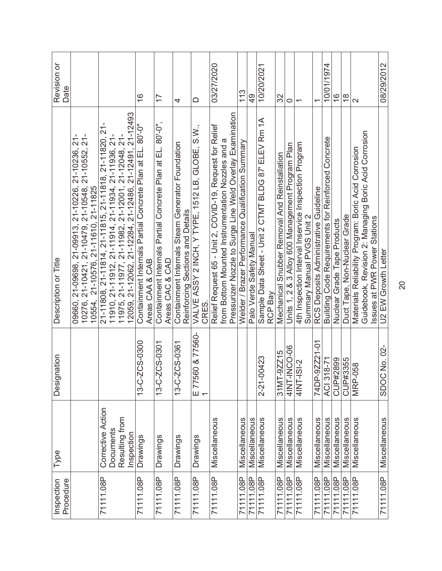| Procedure<br>Inspection | Type                                                           | Designation                | Description or Title                                                                                                                                                                                                                   | Revision or<br>Date      |
|-------------------------|----------------------------------------------------------------|----------------------------|----------------------------------------------------------------------------------------------------------------------------------------------------------------------------------------------------------------------------------------|--------------------------|
|                         |                                                                |                            | п<br>10276, 21-10421, 21-10479, 21-10548, 21-10552, 21-<br>10554,  21-10576, 21-11610, 21-11825<br>09660, 21-09698, 21-09913, 21-10226, 21-10236, 21                                                                                   |                          |
| 71111.08P               | Corrective Action<br>Resulting from<br>Documents<br>Inspection |                            | 21-12493<br>21-11808, 21-11814, 21-11815, 21-11818, 21-11820, 21-<br>11910, 21-11912, 21-11914, 21-11934, 21-11936, 21-<br>11975, 21-11977, 21-11982, 21-12001, 21-12048, 21-<br>12059, 21-12062, 21-12284, 21-12486, 21-12491, 21-124 |                          |
| 71111.08P               | Drawings                                                       | 13-C-2CS-0300              | Containment Internals Partial Concrete Plan at EL. 80'-0"<br>Areas CAA & CAB                                                                                                                                                           | $\frac{6}{1}$            |
| 71111.08P               | Drawings                                                       | 13-C-2CS-0301              | Containment Internals Partial Concrete Plan at EL. 80'-0",<br>Areas CAC & CAD                                                                                                                                                          | 77                       |
| 71111.08P               | Drawings                                                       | ZCS-0361<br>$13 - C -$     | Containment Internals Steam Generator Foundation<br>Reinforcing Sections and Details                                                                                                                                                   | 4                        |
| 71111.08P               | Drawings                                                       | E 77560 & 77560-           | VALVE ASSY 2 INCH, Y TYPE, 1512 LB, GLOBE, S.W.,<br>CRES.                                                                                                                                                                              | ≏                        |
| 71111.08P               | Miscellaneous                                                  |                            | Pressurizer Nozzle to Surge Line Weld Overlay Examination<br>Relief Request 65 - Unit 2, COVID-19, Request for Relief<br>from Bottom Mounted Instrumentation Nozzles and a                                                             | 03/27/2020               |
| 71111.08P<br>71111.08P  | Miscellaneous<br>Miscellaneous                                 |                            | Welder / Brazer Performance Qualification Summary<br>Palo Verde Safety Manual                                                                                                                                                          | 113<br>$\frac{9}{4}$     |
| 71111.08P               | Miscellaneous                                                  | 2-21-00423                 | Sample Data Sheet - Unit 2 CTMT BLDG 87" ELEV Rm 1A<br>RCP Bay                                                                                                                                                                         | 10/20/2021               |
| 71111.08P<br>71111.08P  | Miscellaneous<br>Miscellaneous                                 | 4INT-INCO-06<br>31MT-9ZZ15 | Units 1, 2 & 3 Alloy 600 Management Program Plan<br>Mechanical Snubber Removal And Reinstallation                                                                                                                                      | 32<br>0                  |
| 71111.08P               | Miscellaneous                                                  | 4INT-ISI-2                 | 4th Inspection Interval Inservice Inspection Program<br>Summary Manual PVGS Unit 2                                                                                                                                                     | $\overline{\phantom{0}}$ |
| 71111.08P               | Miscellaneous                                                  | 74DP-9ZZ21-01              | RCS Deposits Administrative Guideline                                                                                                                                                                                                  | $\overline{\phantom{0}}$ |
| 71111.08P               | Miscellaneous                                                  | ACI 318-71                 | Building Code Requirements for Reinforced Concrete                                                                                                                                                                                     | 10/01/1974               |
| 71111.08P               | Miscellaneous                                                  | CUP#2899                   | Nuclear Grade Tape Products                                                                                                                                                                                                            | $\frac{6}{5}$            |
| 71111.08P               | Miscellaneous                                                  | CUP#3355                   | Duct Tape, Non-Nuclear Grade                                                                                                                                                                                                           | $\frac{8}{1}$            |
| 71111.08P               | Miscellaneous                                                  | MRP-058                    | Guidebook, Revision 2: Managing Boric Acid Corrosion<br>Materials Reliability Program: Boric Acid Corrosion<br><b>Issues at PWR Power Stations</b>                                                                                     | $\mathbf{\Omega}$        |
| 71111.08P               | Miscellaneous                                                  | SDOC No. 02-               | U2 EW Growth Letter                                                                                                                                                                                                                    | 08/29/2012               |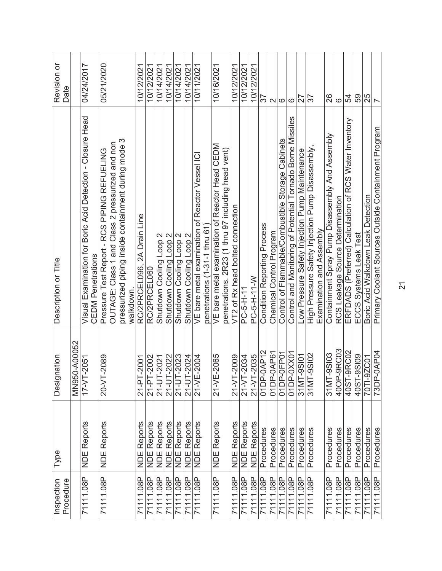| Procedure<br>Inspection | Type                              | Designation                      | Description or Title                                                                                   | Revision or<br>Date |
|-------------------------|-----------------------------------|----------------------------------|--------------------------------------------------------------------------------------------------------|---------------------|
|                         |                                   | MN950-A00052                     |                                                                                                        |                     |
| 71111.08P               | <b>NDE Reports</b>                | $T - 2051$<br>$TV-7$             | Visual Examination for Boric Acid Detection - Closure Head<br><b>CEDM Penetrations</b>                 | 04/24/2017          |
| 71111.08P               | <b>NDE Reports</b>                | <b>F-2089</b><br>$20 - \sqrt{T}$ | Pressure Test Report - RCS PIPING REFUELING                                                            | 05/21/2020          |
|                         |                                   |                                  | pressurized piping inside containment during mode 3<br>OUTAGE: Class 1 and Class 2 pressurized and non |                     |
|                         |                                   |                                  | walkdown                                                                                               |                     |
| 71111.08P               | <b>NDE Reports</b>                | $[-2001]$<br>$21 - PT$           | RC/2PRCEL096, 2A Drain Line                                                                            | 10/12/2021          |
| 71111.08P               | <b>NDE Reports</b>                | 21-PT-2002                       | RC/2PRCEL060                                                                                           | 10/12/2021          |
| 71111.08P               | <b>NDE Reports</b>                | 21-UT-2021                       | Shutdown Cooling Loop 2                                                                                | 10/14/2021          |
| 71111.08P               | <b>NDE Reports</b>                | 21-UT-2022                       | Loop 2<br>Shutdown Cooling                                                                             | 10/14/2021          |
| 71111.08P               | <b>NDE Reports</b>                | 21-UT-2023                       | Shutdown Cooling Loop 2                                                                                | 10/14/2021          |
| 71111.08P               |                                   | 21-UT-2024                       | Shutdown Cooling Loop 2                                                                                | 10/14/2021          |
| 71111.08P               | <b>NDE Reports</b><br>NDE Reports | 21-VE-2004                       | VE bare metal examination of Reactor Vessel ICI                                                        | 10/11/2021          |
|                         |                                   |                                  | penetrations (1-31-1 thru 61                                                                           |                     |
| 71111.08P               | <b>NDE Reports</b>                | 21-VE-2065                       | VE bare metal examination of Reactor Head CEDM                                                         | 10/16/2021          |
|                         |                                   |                                  | penetrations. 2R23 (1 thru 97 including head vent)                                                     |                     |
| 71111.08P               | <b>NDE Reports</b>                | $-2009$<br>$21 - 17$             | VT2 of Rx head bolted connection                                                                       | 10/12/2021          |
| 71111.08P               | <b>NDE Reports</b>                | 21-VT-2034                       | PC-5-H-11                                                                                              | 10/12/2021          |
| 71111.08P               | <b>NDE Reports</b>                | 21-VT-2035                       | PC-5-H-11-W                                                                                            | 10/12/2021          |
| 71111.08P               | Procedures                        | 01DP-0AP12                       | <b>Condition Reporting Process</b>                                                                     | 57                  |
| 71111.08P               | Procedures                        | 01DP-0AP61                       | Chemical Control Program                                                                               | $\mathbf{\Omega}$   |
| 71111.08P               | Procedures                        | $01DP-OF$ $P01$                  | Control of Flammable/Combustible Storage Cabinets                                                      | $\circ$             |
| 71111.08P               | Procedures                        | 01DP-0XX01                       | Control and Monitoring of Potential Tornado Borne Missiles                                             | $\circ$             |
| 71111.08P               | Procedures                        | 31MT-9SI01                       | Low Pressure Safety Injection Pump Maintenance                                                         | 72                  |
| 71111.08P               | Procedures                        | $-9S102$<br>31MT                 | High Pressure Safety Injection Pump Disassembly,                                                       | 76                  |
|                         |                                   |                                  | Examination and Assembly                                                                               |                     |
| 71111.08P               | Procedures                        | $-9S103$<br>31MT                 | Containment Spray Pump Disassembly And Assembly                                                        | 26                  |
| 71111.08P               | Procedures                        | 40OP-9RC03                       | RCS Leakage Source Determination                                                                       | ဖ                   |
| 71111.08P               | Procedures                        | 40ST-9RC02<br>40ST-9SI09         | ERFDADS (Preferred) Calculation of RCS Water Inventory                                                 | 54                  |
| 71111.08P               | Procedures                        |                                  | ECCS Systems Leak Test                                                                                 | 59                  |
| 71111.08P               | Procedures                        | 70TI-9ZC01                       | Boric Acid Walkdown Leak Detection                                                                     | 25                  |
| 71111.08P               | Procedures                        | 73DP-0AP04                       | Primary Coolant Sources Outside Containment Program                                                    | $\overline{ }$      |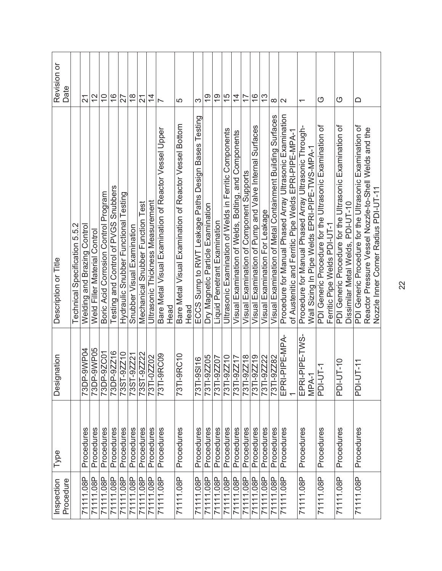| Procedure<br>Inspection | Type       | Designation               | Description or Title                                                                    | Revision or<br>Date       |
|-------------------------|------------|---------------------------|-----------------------------------------------------------------------------------------|---------------------------|
|                         |            |                           | Technical Specification 5.5.2                                                           |                           |
| 71111.08P               | Procedures | -9WP04<br>73DP-           | <b>Welding and Brazing Control</b>                                                      | $\overline{2}$            |
| 71111.08P               | Procedures | 73DP-9WP05                | Weld Filler Material Control                                                            | $\frac{2}{\sqrt{2}}$      |
| 71111.08P               | Procedures | 73DP-9ZC01                | Boric Acid Corrosion Control Program                                                    | $\widetilde{\phantom{a}}$ |
| 71111.08P               | Procedures | 73DP-9ZZ16                | Testing and Control of PVGS Snubbers                                                    | $\frac{6}{5}$             |
| 71111.08P               | Procedures | 73ST-9ZZ10                | Hydraulic Snubber Functional Testing                                                    | 27                        |
| 71111.08P               | Procedures | 73ST-9ZZ21                | Snubber Visual Examination                                                              | $\frac{8}{1}$             |
| 71111.08P               | Procedures | 9ZZ22<br>73ST-            | Mechanical Snubber Function Test                                                        | $\overline{2}$            |
| 71111.08P               | Procedures | 0ZZ02<br>73TI-C           | Ultrasonic Thickness Measurement                                                        | $\overline{4}$            |
| 71111.08P               | Procedures | 73TI-9RC09                | Bare Metal Visual Examination of Reactor Vessel Upper<br>Head                           | $\overline{\phantom{0}}$  |
| 71111.08P               | Procedures | 73TI-9RC10                | Bare Metal Visual Examination of Reactor Vessel Bottom                                  | 5                         |
|                         |            |                           | Head                                                                                    |                           |
| 71111.08P               | Procedures | 73TI-9SI16                | ECCS Sump to RWT Leakage Paths Design Bases Testing                                     | ო                         |
| 71111.08P               | Procedures | 73TI-9ZZ05                | Dry Magnetic Particle Examination                                                       | $\frac{6}{1}$             |
| 71111.08P               | Procedures | 73TI-9ZZ07                | Liquid Penetrant Examination                                                            | $\frac{6}{1}$             |
| 71111.08P               | Procedures | 73TI-9ZZ10                | Ultrasonic Examination of Welds in Ferritic Components                                  | $\frac{5}{1}$             |
| 71111.08P               | Procedures | 73TI-9ZZ17                | Visual Examination of Welds, Bolting, and Components                                    | $\overline{4}$            |
| 71111.08P               | Procedures | 73TI-9ZZ18                | Visual Examination of Component Supports                                                | 77                        |
| 71111.08P               | Procedures | 73TI-9ZZ19                | Visual Examination of Pump and Valve Internal Surfaces                                  | $\frac{6}{1}$             |
| 71111.08P               | Procedures | 73TI-9ZZ22                | Visual Examination For Leakage                                                          | $\frac{3}{5}$             |
| 71111.08P               | Procedures | 73TI-9ZZ82                | Visual Examination of Metal Containment Building Surfaces                               | $\infty$                  |
| 71111.08P               | Procedures | PIPE-MPA-<br>EPRI-I       | Procedure for Manual Phased Array Ultrasonic Examination                                | $\sim$                    |
|                         |            |                           | of Austenitic and Ferritic Pipe Welds EPRI-PIPE-MPA-1                                   |                           |
| 71111.08P               | Procedures | PIPE-TWS-<br>EPRI-        | Procedure for Manual Phased Array Ultrasonic Through-                                   | $\overline{\phantom{0}}$  |
|                         |            | MPA-1                     | Wall Sizing In Pipe Welds EPRI-PIPE-TWS-MPA-1                                           |                           |
| 71111.08P               | Procedures | IT-1<br><b>PDI-L</b>      | PDI Generic Procedure for the Ultrasonic Examination of<br>Ferritic Pipe Welds PDI-UT-1 | O                         |
| 71111.08P               | Procedures | $1 - 10$<br>PDI-L         | PDI Generic Procedure for the Ultrasonic Examination of                                 | O                         |
|                         |            |                           | Dissimilar Metal Welds, PDI-UT-10                                                       |                           |
| 71111.08P               | Procedures | $JT - 11$<br><b>PDI-L</b> | PDI Generic Procedure for the Ultrasonic Examination of                                 | $\Box$                    |
|                         |            |                           | Reactor Pressure Vessel Nozzle-to-Shell Welds and the                                   |                           |
|                         |            |                           | Nozzle Inner Corner Radius PDI-UT-11                                                    |                           |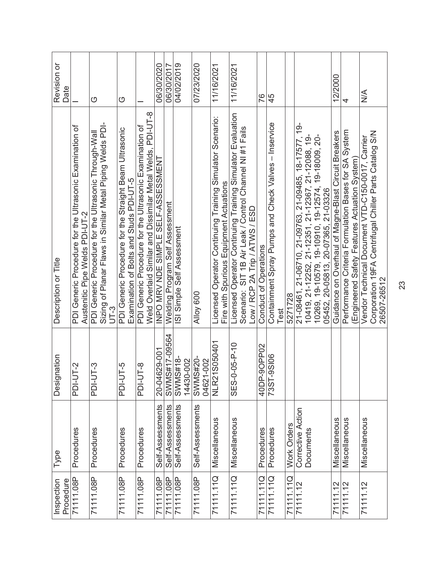| Procedure<br>Inspection | Type                           | Designation                    | Description or Title                                                                                                                                    | Revision or<br>Date |
|-------------------------|--------------------------------|--------------------------------|---------------------------------------------------------------------------------------------------------------------------------------------------------|---------------------|
| 71111.08P               | Procedures                     | $T-2$<br><b>PDI-L</b>          | PDI Generic Procedure for the Ultrasonic Examination of<br>Austenitic Pipe Welds PDI-UT-2                                                               |                     |
| 71111.08P               | Procedures                     | $JT-3$<br><b>D-IQd</b>         | Sizing of Planar Flaws in Similar Metal Piping Welds PDI-<br>PDI Generic Procedure for the Ultrasonic Through-Wall<br>$UT-3$                            | O                   |
| 71111.08P               | Procedures                     | $5 - 11$<br><b>PDI-U</b>       | PDI Generic Procedure for the Straight Beam Ultrasonic<br>Examination of Bolts and Studs PDI-UT-5                                                       | O                   |
| 71111.08P               | Procedures                     | $JT-8$<br><b>D-IQd</b>         | Weld Overlaid Similar and Dissimilar Metal Welds, PDI-UT-8<br>PDI Generic Procedure for the Ultrasonic Examination of                                   |                     |
| 71111.08P               | Self-Assessments               | 20-04629-001                   | INPO MRV NDE SIMPLE SELF-ASSESSMENT                                                                                                                     | 06/30/2020          |
| 71111.08P               | Self-Assessments               | SWMS#17-09564                  | Welding Program Self Assessment                                                                                                                         | 06/30/2017          |
| 71111.08P               | Self-Assessments               | SWMS#18-<br>14430-002          | SI Simple Self Assessment                                                                                                                               | 04/02/2019          |
| 71111.08P               | Self-Assessments               | SWMS#20-<br>$1 - 002$<br>04621 | Alloy 600                                                                                                                                               | 07/23/2020          |
| 71111.11Q               | Miscellaneous                  | NLR21S050401                   | Licensed Operator Continuing Training Simulator Scenario:<br>Fire with Spurious Equipment Actuations                                                    | 11/16/2021          |
| 71111.11Q               | Miscellaneous                  | $0 - 05 - P - 10$<br>SES-C     | Licensed Operator Continuing Training Simulator Evaluation<br>Scenario: SIT 1B Air Leak / Control Channel NI #1 Fails<br>Low / RCP 2A Trip / ATWS / ESD | 11/16/2021          |
| .11Q                    | Procedures                     | 40DP-90PP02                    | Conduct of Operations                                                                                                                                   | 76                  |
| 71111.11Q               | Procedures                     | 73ST-9SI06                     | Containment Spray Pumps and Check Valves - Inservice<br>Test                                                                                            | 45                  |
| 71111.11Q               | Work Orders                    |                                | 5271728                                                                                                                                                 |                     |
| 71111.12                | Corrective Action<br>Documents |                                | 21-08461, 21-06710, 21-09763, 21-09485, 18-17577, 19-<br>10419, 21-12252, 21-12351, 21-12367, 21-12088, 19-                                             |                     |
|                         |                                |                                | 10269, 19-10579, 19-10910, 19-12574, 19-18009, 20-<br>05452, 20-05813, 20-07365, 21-03326                                                               |                     |
| 71111.12                | Miscellaneous                  |                                | Guidance on Overhaul of Magne-Blast Circuit Breakers                                                                                                    | 12/2000             |
| 71111.12                | Miscellaneous                  |                                | Performance Criteria Formulation Bases for SA System<br>(Engineered Safety Features Actuation System)                                                   | 4                   |
| 71111.12                | Miscellaneous                  |                                | Vendor Technical Document VTD-C150-0017, Carrier                                                                                                        | $\frac{1}{2}$       |
|                         |                                |                                | Corporation 19FA Centrifugal Chiller Parts Catalog S/N<br>26507-26512                                                                                   |                     |

23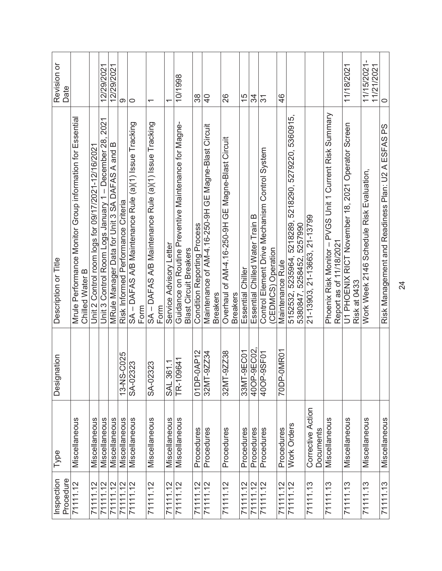| Inspection<br>Procedure | Type                           | Designation           | Description or Title                                                                   | Revision or<br>Date       |
|-------------------------|--------------------------------|-----------------------|----------------------------------------------------------------------------------------|---------------------------|
| 71111.12                | Miscellaneous                  |                       | Mrule Performance Monitor Group information for Essential<br>Chilled Water B           |                           |
| 71111.12                | Miscellaneous                  |                       | Unit 2 Control room logs for 09/17/2021-12/16/2021                                     |                           |
| 71111.12                | Miscellaneous                  |                       | 2021<br>Unit 3 Control Room Logs January 1 - December 28,                              | 12/29/2021                |
| 71111.12                | Miscellaneous                  |                       | MRule Manager Data for Unit 3 SA DAFAS A and B                                         | 12/29/2021                |
| 71111.12                | Miscellaneous                  | 13-NS-C025            | Risk Informed Performance Criteria                                                     | ග                         |
| 71111.12                | Miscellaneous                  | SA-02323              | SA - DAFAS A/B Maintenance Rule (a)(1) Issue Tracking                                  | $\circ$                   |
|                         |                                |                       | Form                                                                                   |                           |
| 71111.12                | Miscellaneous                  | SA-02323              | SA - DAFAS A/B Maintenance Rule (a)(1) Issue Tracking<br>Form                          | $\overline{\phantom{0}}$  |
| 71111.12                | Miscellaneous                  | <b>SAL 361.1</b>      | Service Advisory Letter                                                                | ᡪ                         |
| 71111.12                | Miscellaneous                  | 09641<br>TR-10        | Guidance on Routine Preventive Maintenance for Magne-<br><b>Blast Circuit Breakers</b> | 10/1998                   |
| 71111.12                | Procedures                     | 01DP-0AP12            | <b>Condition Reporting Process</b>                                                     | 38                        |
| 71111.12                | Procedures                     | $-92234$<br>32MT-     | Maintenance of AM-4.16-250-9H GE Magne-Blast Circuit<br><b>Breakers</b>                | $\frac{1}{2}$             |
| 71111.12                | Procedures                     | $-9ZZ38$<br>32MT      | Overhaul of AM-4.16-250-9H GE Magne-Blast Circuit<br><b>Breakers</b>                   | 26                        |
| 71111.12                | Procedures                     | $-9ECO1$<br>33MT      | <b>Essential Chiller</b>                                                               | 15                        |
| 71111.12                | Procedures                     | 400P-9EC02            | Essential Chilled Water Train B                                                        | 34                        |
| 7111.12                 | Procedures                     | 400P-9SF01            | Control Element Drive Mechanism Control System<br>(CEDMCS) Operation                   | 31                        |
| 71111.12                | Procedures                     | $-0$ MR $01$<br>70DP- | Maintenance Rule                                                                       | $\frac{4}{6}$             |
| 71111.12                | Work Orders                    |                       | 5152532, 5235964, 5218289, 5218290, 5279220, 5360915,<br>5380847, 5258452, 5257990     |                           |
| 71111.13                | Corrective Action<br>Documents |                       | 21-13903, 21-13663, 21-13799                                                           |                           |
| 71111.13                | Miscellaneous                  |                       | Phoenix Risk Monitor - PVGS Unit 1 Current Risk Summary<br>Report as of 11/18/2021     |                           |
| 71111.13                | Miscellaneous                  |                       | U1 PHOENIX RICT November 18, 2021 Operator Screen<br>Risk at 0433                      | 11/18/2021                |
| 71111.13                | Miscellaneous                  |                       | Work Week 2146 Schedule Risk Evaluation,                                               | 11/15/2021-<br>11/21/2021 |
| 71111.13                | Miscellaneous                  |                       | Risk Management and Readiness Plan: U2 A ESFAS PS                                      | $\circ$                   |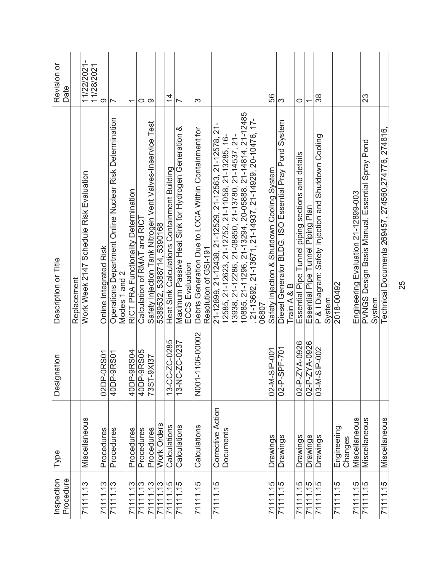| Procedure<br>Inspection | Type                   | Designation           | Description or Title                                                                                          | Revision or<br>Date                        |
|-------------------------|------------------------|-----------------------|---------------------------------------------------------------------------------------------------------------|--------------------------------------------|
|                         |                        |                       | Replacement                                                                                                   |                                            |
| 71111.13                | Miscellaneous          |                       | Work Week 2147 Schedule Risk Evaluation                                                                       | $\blacksquare$<br>11/22/2021<br>11/28/2021 |
| 71111.13                | Procedures             | 02DP-0RS01            | Online Integrated Risk                                                                                        | တ                                          |
| 71111.13                | Procedures             | 40DP-9RS01            | Operations Department Online Nuclear Risk Determination                                                       | $\overline{\phantom{0}}$                   |
|                         |                        |                       | Modes 1 and 2                                                                                                 |                                            |
| 71111.13                | Procedures             | 40DP-9RS04            | RICT PRA Functionality Determination                                                                          | $\overline{\phantom{0}}$                   |
| 71111.13                | Procedures             | 40DP-9RS05            | Calculation of RMAT and RICT                                                                                  | 0                                          |
| 71111.13                | Procedures             | 73ST-9XI37            | Safety Injection Tank Nitrogen Vent Valves-Inservice Test                                                     | တ                                          |
| 71111.13                | Work Orders            |                       | 5389532, 5388714, 5390168                                                                                     |                                            |
| 71111.15                | Calculations           | 13-CC-ZC-0285         | Heat Sink Calculations Containment Building                                                                   | $\frac{4}{1}$                              |
| 71111.15                | Calculations           | 13-NC-ZC-0237         | Maximum Passive Heat Sink for Hydrogen Generation &<br><b>ECCS Evaluation</b>                                 | $\overline{ }$                             |
|                         |                        |                       |                                                                                                               |                                            |
| 71111.15                | Calculations           | N001-1106-00002       | Debris Generation Due to LOCA Within Containment for<br>Resolution of GSI-191                                 | ო                                          |
| 71111.15                | Corrective Action      |                       | 21-12899, 21-12438, 21-12529, 21-12563, 21-12578, 21-                                                         |                                            |
|                         | Documents              |                       | 12585, 21-12623, 21-12752, 21-11058, 21-13285, 16-                                                            |                                            |
|                         |                        |                       |                                                                                                               |                                            |
|                         |                        |                       | 13938, 21-12286, 21-08850, 21-13780, 21-14537, 21-<br>10885, 21-11296, 21-13294, 20-05888, 21-14814, 21-12485 |                                            |
|                         |                        |                       | 21-13692, 21-13671, 21-14937, 21-14929, 20-10476, 17-                                                         |                                            |
|                         |                        |                       | 06807                                                                                                         |                                            |
| 71111.15                | <b>Drawings</b>        | 02-M-SIP-001          | Safety Injection & Shutdown Cooling System                                                                    | 56                                         |
| 71111.15                | Drawings               | 02-P-SPF-701          | Diesel Generator BLDG. ISO Essential Pray Pond System                                                         | S                                          |
|                         |                        |                       | Train A & B                                                                                                   |                                            |
| 71111.15                | Drawings               | 02-P-ZYA-0926         | Essential Pipe Tunnel piping sections and details                                                             | 0                                          |
| 71111.15                | <b>Drawings</b>        | 02-P-ZYA-0926         | Essential Pipe Tunnel Piping Plan                                                                             | ᡪ                                          |
| 71111.15                | Drawings               | SIP-002<br>$03 - M -$ | P & I Diagram: Safety Injection and Shutdown Cooling                                                          | 38                                         |
|                         |                        |                       | System                                                                                                        |                                            |
| 71111.15                | Engineering<br>Changes |                       | 2018-00492                                                                                                    |                                            |
| 71111.15                | Miscellaneous          |                       | Engineering Evaluation 21-12899-003                                                                           |                                            |
| 71111.15                | Miscellaneous          |                       | PVNGS Design Basis Manual, Essential Spray Pond                                                               | 23                                         |
|                         |                        |                       | System                                                                                                        |                                            |
| 71111.15                | Miscellaneous          |                       | Technical Documents 269457, 274560,274776, 274816,                                                            |                                            |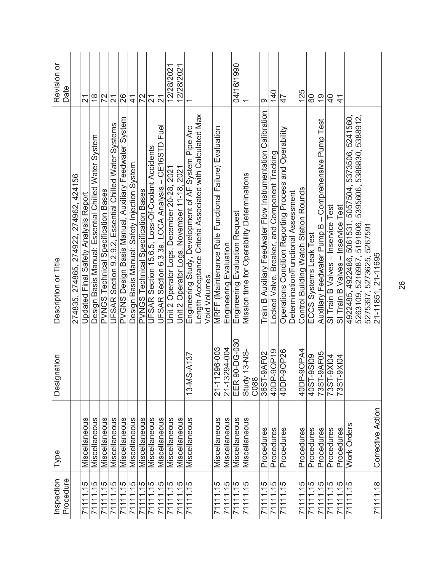| Procedure<br>Inspection | Type              | Designation                 | Description or Title                                                                                              | Revision or<br>Date               |
|-------------------------|-------------------|-----------------------------|-------------------------------------------------------------------------------------------------------------------|-----------------------------------|
|                         |                   |                             | 274835, 274865, 274922, 274962, 424156                                                                            |                                   |
| 71111.15                | Miscellaneous     |                             | Updated Final Safety Analysis Report                                                                              | 21                                |
| 71111.15                | Miscellaneous     |                             | Design Basis Manual: Essential Chilled Water System                                                               | $\frac{8}{1}$                     |
| 71111.15                | Miscellaneous     |                             | PVNGS Technical Specification Bases                                                                               | 72                                |
| 71111.15                | Miscellaneous     |                             | UFSAR Section 9.2.9.2, Essential Chilled Water Systems                                                            | $\overline{\mathcal{E}}$          |
| 71111.15                | Miscellaneous     |                             | PVGNS Design Basis Manual, Auxiliary Feedwater System                                                             | 26                                |
| 71111.15                | Miscellaneous     |                             | Design Basis Manual: Safety Injection System                                                                      | $\frac{4}{1}$                     |
| 71111.15                | Miscellaneous     |                             | <b>PVNGS Technical Specification Bases</b>                                                                        | 72                                |
| 71111.15                | Miscellaneous     |                             | UFSAR Section 15.6.5, Loss-Of-Coolant Accidents                                                                   | $\overline{2}$                    |
| 71111.15                | Miscellaneous     |                             | UFSAR Section 6.3.3a, LOCA Analysis – CE16STD Fuel                                                                | $\overline{2}$                    |
| 71111.15                | Miscellaneous     |                             | Unit 2 Operator Logs, December 20-28, 2021                                                                        | 12/28/202                         |
| 71111.15                | Miscellaneous     |                             | Unit 2 Operator Logs, November 11-18, 2021                                                                        | 12/28/2021                        |
| 71111.15                | Miscellaneous     | 13-MS-A137                  | Engineering Study, Development of AF System Pipe Arc                                                              |                                   |
|                         |                   |                             | Length Acceptance Criteria Associated with Calculated Max<br><b>Void Volumes</b>                                  |                                   |
| 71111.15                | Miscellaneous     | 296-003<br>$21 - 11$        | MRFF (Maintenance Rule Functional Failure) Evaluation                                                             |                                   |
| 71111.15                | Miscellaneous     | 21-13294-004                | Engineering Evaluation                                                                                            |                                   |
| 71111.15                | Miscellaneous     | 90-DG-030<br>EER            | Engineering Evaluation Request                                                                                    | 04/16/1990                        |
| $\frac{71111}{11.15}$   | Miscellaneous     | Study 13-NS-<br>C088        | Mission time for Operability Determinations                                                                       |                                   |
| 71111.15                | Procedures        | 36ST-9AF02                  | Train B Auxiliary Feedwater Flow Instrumentation Calibration                                                      | ග                                 |
| 71111.15                | Procedures        | 40DP-9OP19                  | Locked Valve, Breaker, and Component Tracking                                                                     | $\frac{40}{5}$                    |
| 71111.15                | Procedures        | 40DP-9OP26                  | Operations Condition Reporting Process and Operability<br>Determination/Functional Assessment                     | 47                                |
| 71111.15                | Procedures        | 40DP-90PA4                  | Control Building Watch Station Rounds                                                                             | 125                               |
| 71111.15                | Procedures        | $-9S109$<br>40ST-           | ECCS Systems Leak Test                                                                                            | 80                                |
| 71111.15                | Procedures        | $-9$ AF05<br>73ST-          | Auxiliary Feedwater Pump B - Comprehensive Pump Test                                                              | $\frac{6}{1}$                     |
| 71111.15                | Procedures        | -9XI04<br>73ST              | SI Train B Valves - Inservice Test                                                                                | $\overline{4}$                    |
| 71111.15                | Procedures        | -9XI04<br>$735\overline{1}$ | SI Train B Valves - Inservice Test                                                                                | $\overset{\text{\tiny{+}}}{\tau}$ |
| 71111.15                | Work Orders       |                             | 5373506, 5241560,<br>5263109, 5216987, 5191806, 5395606, 5388830, 5388912,<br>4922485, 4922486, 5061531, 5057504, |                                   |
|                         |                   |                             | 5275397, 5273625, 5267591                                                                                         |                                   |
| 71111.18                | Corrective Action |                             | 21-11851, 21-11695                                                                                                |                                   |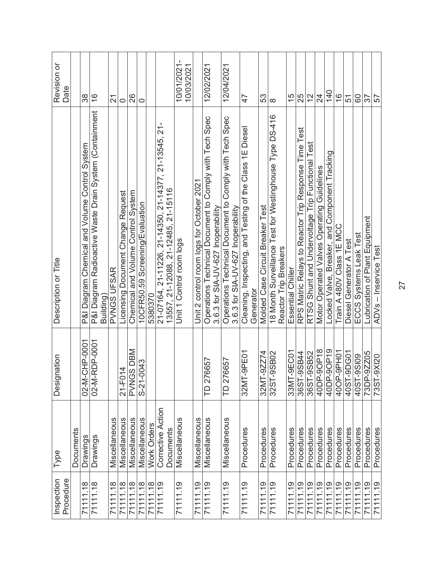| P&I Diagram Radioactive Waste Drain System (Containment<br>P&I Diagram Chemical and Volume Control System<br>Description or Title<br>PVNGS UFSAR |
|--------------------------------------------------------------------------------------------------------------------------------------------------|
| Building                                                                                                                                         |
| Licensing Document Change Request                                                                                                                |
| Chemical and Volume Control System                                                                                                               |
| 10CFR50.59 Screening/Evaluation                                                                                                                  |
| 21-07164, 21-11226, 21-14350, 21-14377, 21-13545, 21-                                                                                            |
| 13557, 21-12088, 21-12485, 21-15116                                                                                                              |
| Unit 1 Control room logs                                                                                                                         |
| Unit 2 control room logs for October 2021                                                                                                        |
| Operations Technical Document to Comply with Tech Spec<br>3.6.3 for SIA-UV-627 Inoperability                                                     |
| Operations Technical Document to Comply with Tech Spec<br>3.6.3 for SIA-UV-627 Inoperability                                                     |
| Cleaning, Inspecting, and Testing of the Class 1E Diesel                                                                                         |
| Molded Case Circuit Breaker Test                                                                                                                 |
| 18 Month Surveillance Test for Westinghouse Type DS-416<br>Reactor Trip Breakers                                                                 |
| Essential Chiller                                                                                                                                |
| RPS Matric Relays to Reactor Trip Response Time Test                                                                                             |
| RTSG Shunt and Undervoltage Trip Functional                                                                                                      |
| Motor Operated Valves Operating Guidelines                                                                                                       |
| Locked Valve, Breaker, and Component Tracking                                                                                                    |
| Train A 480V Class 1E MCC                                                                                                                        |
| Diesel Generator A Test                                                                                                                          |
| ECCS Systems Leak Test                                                                                                                           |
| Lubrication of Plant Equipment                                                                                                                   |
| ADVs - Inservice Test                                                                                                                            |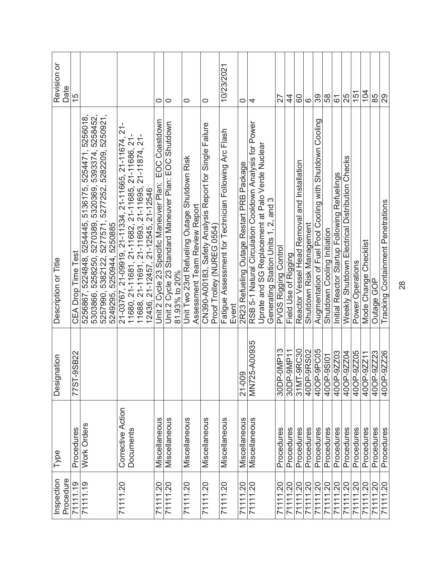| Inspection<br>Procedure | Type              | Designation        | Description or Title                                                                                                                                                                                     | Revision or<br>Date |
|-------------------------|-------------------|--------------------|----------------------------------------------------------------------------------------------------------------------------------------------------------------------------------------------------------|---------------------|
| 71111.19                | Procedures        | -9SB22<br>77ST-    | <b>CEA Drop Time Test</b>                                                                                                                                                                                | 15                  |
| 71111.19                | Work Orders       |                    | 5254471, 5256018,<br>5258250, 5270389, 5320369, 5393374, 5258452,<br>5256867, 5224848, 5254445, 5136175,<br>5303866,                                                                                     |                     |
|                         |                   |                    | 5257990, 5382122, 5277571, 5277252, 5282209, 5250921,<br>5249295, 5250944, 5250885                                                                                                                       |                     |
| 71111.20                | Corrective Action |                    | 21-03767, 21-09919, 21-11334, 21-11665, 21-11674, 21-<br>11680, 21-11681, 21-11682, 21-11685, 21-11686, 21-<br>11688, 21-11691, 21-11693, 21-11695, 21-11874, 21-<br>12436, 21-12457, 21-12545, 21-12546 |                     |
|                         | Documents         |                    |                                                                                                                                                                                                          |                     |
|                         |                   |                    |                                                                                                                                                                                                          |                     |
|                         |                   |                    |                                                                                                                                                                                                          |                     |
| 71111.20                | Miscellaneous     |                    | EOC Coastdown<br>Unit 2 Cycle 23 Specific Maneuver Plan:                                                                                                                                                 | 0                   |
| 71111.20                | Miscellaneous     |                    | Unit 2 Cycle 23 Standard Maneuver Plan: EOC Shutdown                                                                                                                                                     | $\circ$             |
|                         |                   |                    | 81.93% to 20%                                                                                                                                                                                            |                     |
| 71111.20                | Miscellaneous     |                    | Unit Two 23rd Refueling Outage Shutdown Risk                                                                                                                                                             | 0                   |
|                         |                   |                    | Assessment Team Review Report                                                                                                                                                                            |                     |
| 71111.20                | Miscellaneous     |                    | CN390-A00183, Safety Analysis Report for Single Failure                                                                                                                                                  | 0                   |
|                         |                   |                    | Proof Trolley (NUREG 0554)                                                                                                                                                                               |                     |
| 71111.20                | Miscellaneous     |                    | Fatigue Assessment for Technician Following Arc Flash                                                                                                                                                    | 10/23/2021          |
|                         |                   |                    | Event                                                                                                                                                                                                    |                     |
| 71111.20                | Miscellaneous     | 21-009             | 2R23 Refueling Outage Restart PRB Package                                                                                                                                                                | 0                   |
| 71111.20                | Miscellaneous     | MN725-A00935       | RSB 5-1 Natural Circulation Cooldown Analysis for Power                                                                                                                                                  | 4                   |
|                         |                   |                    | Uprate and SG Replacement at Palo Verde Nuclear                                                                                                                                                          |                     |
|                         |                   |                    | Generating Station Units 1, 2, and 3                                                                                                                                                                     |                     |
| 71111.20                | Procedures        | 30DP-0MP13         | PVGS Rigging Control                                                                                                                                                                                     | 27                  |
| 71111.20                | Procedures        | 30DP-9MP11         | Field Use of Rigging                                                                                                                                                                                     | $\frac{4}{4}$       |
| $\frac{71111}{20}$      | Procedures        | $-9$ RC30<br>31MT- | and Installation<br>Reactor Vessel Head Removal                                                                                                                                                          | 80                  |
| 71111.20                | Procedures        | 40DP-9RS02         | Shutdown Risk Management                                                                                                                                                                                 | ဖ                   |
| 71111.20                | Procedures        | 40OP-9PC05         | Augmentation of Fuel Pool Cooling with Shutdown Cooling                                                                                                                                                  | 39                  |
| 71111.20                | Procedures        | 400P-9S101         | Shutdown Cooling Initiation                                                                                                                                                                              | 58                  |
| 71111.20                | Procedures        | 40OP-9ZZ03         | Initial Reactor Startup Following Refuelings                                                                                                                                                             | 61                  |
| 71111.20                | Procedures        | 40OP-9Z204         | Weekly Shutdown Electrical Distribution Checks                                                                                                                                                           | 25                  |
| 71111.20                | Procedures        | 40OP-9ZZ05         | Power Operations                                                                                                                                                                                         | 151                 |
| 71111.20                | Procedures        | 40OP-9ZZ11         | Mode Change Checklist                                                                                                                                                                                    | 104                 |
| 71111.20                | Procedures        | 40OP-9ZZ23         | Outage GOP                                                                                                                                                                                               | 85                  |
| 71111.20                | Procedures        | 400P-9ZZ26         | Tracking Containment Penetrations                                                                                                                                                                        | 29                  |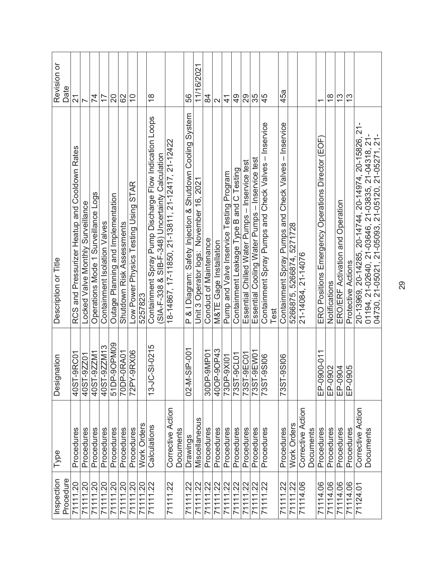| Procedure<br>Inspection     | Type                           | Designation           | Description or Title                                                                                      | Revision or<br>Date |
|-----------------------------|--------------------------------|-----------------------|-----------------------------------------------------------------------------------------------------------|---------------------|
| 71111.20                    | Procedures                     | -9RC01<br>40ST-       | RCS and Pressurizer Heatup and Cooldown Rates                                                             | $\overline{2}$      |
| 71111.20                    | Procedures                     | $-92201$<br>40ST-     | Locked Valve Monthly Surveillance                                                                         | $\triangleright$    |
| 71111.20                    | Procedures                     | 40ST-9ZZM1            | Operations Mode 1 Surveillance Logs                                                                       | $\overline{7}$      |
| 71111.20                    | Procedures                     | 40ST-9ZZM13           | Containment Isolation Valves                                                                              | 77                  |
| 71111.20                    | Procedures                     | 51DP-9OPM09           | Outage Planning and Implementation                                                                        | 20                  |
| 71111.20                    | Procedures                     | 70DP-0RA01            | Shutdown Risk Assessments                                                                                 | 62                  |
| 7111.20<br>7111.20          | Procedures                     | $-9RX06$<br>72PY.     | Low Power Physics Testing Using STAR                                                                      | $\overline{0}$      |
|                             | Work Orders                    |                       | 5257823                                                                                                   |                     |
| 7111.22                     | Calculations                   | $-51-0215$<br>$13-JC$ | Containment Spray Pump Discharge Flow Indication Loops<br>(SIA-F-338 & SIB-F-348) Uncertainty Calculation | $\frac{8}{1}$       |
| 71111.22                    | Corrective Action              |                       | 18-14867, 17-11850, 21-13811, 21-12417, 21-12422                                                          |                     |
|                             | Documents                      |                       |                                                                                                           |                     |
| 71111.22                    | Drawings                       | SIP-001<br>$02 - M -$ | P & I Diagram: Safety Injection & Shutdown Cooling System                                                 | 56                  |
| 71111.22                    | Miscellaneous                  |                       | Unit 3 Operator logs: November 16, 2021                                                                   | 11/16/2021          |
| 71111.22                    | Procedures                     | 30DP-9MP01            | Conduct of Maintenance                                                                                    | 84                  |
| 7111.22                     | Procedures                     | 400P-90P43            | M&TE Gage Installation                                                                                    | $\mathbf{\Omega}$   |
| 71111.22                    | Procedures                     | 73DP-9XI01            | Pump and Valve Inservice Testing Program                                                                  | $\frac{4}{1}$       |
| $\frac{71111.22}{71111.22}$ | Procedures                     | 73ST-9CL01            | Containment Leakage Type B and C Testing                                                                  | $\frac{9}{4}$       |
|                             | Procedures                     | 73ST-9EC01            | Essential Chilled Water Pumps - Inservice test                                                            | 29                  |
|                             | Procedures                     | 73ST-9EW01            | Essential Cooling Water Pumps - Inservice test                                                            | 35                  |
| 71111.22                    | Procedures                     | 9SI06<br>735T-        | Containment Spray Pumps and Check Valves - Inservice<br>Test                                              | 45                  |
| 71111.22                    | Procedures                     | $-9S106$<br>73ST-     | Containment Spray Pumps and Check Valves - Inservice                                                      | 45a                 |
| 7111.22                     | Work Orders                    |                       | 5266875, 5266874, 5271728                                                                                 |                     |
| 71114.06                    | Corrective Action<br>Documents |                       | 21-14084, 21-14076                                                                                        |                     |
| 71114.06                    | Procedures                     | EP-0900-011           | ERO Positions Emergency Operations Director (EOF)                                                         | ᡪ                   |
| 71114.06                    | Procedures                     | EP-0902               | Notifications                                                                                             | $\frac{8}{1}$       |
| 71114.06                    | Procedures                     | EP-0904               | ERO/ERF Activation and Operation                                                                          | <u>ლ</u>            |
| 71114.06                    | Procedures                     | EP-0905               | Protective Actions                                                                                        | $\frac{3}{2}$       |
| 71124.01                    | Corrective Action              |                       | 20-13969, 20-14285, 20-14744, 20-14974, 20-15826, 21-                                                     |                     |
|                             | Documents                      |                       | 01194, 21-02640, 21-03646, 21-03835, 21-04318, 21-<br>04730, 21-05021, 21-05093, 21-05120, 21-05271, 21-  |                     |
|                             |                                |                       |                                                                                                           |                     |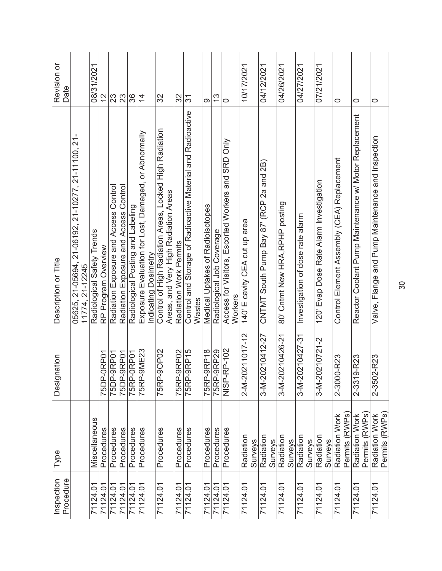| Inspection<br>Procedure | Type                             | Designation        | Description or Title                                                                           | Revision or<br>Date |
|-------------------------|----------------------------------|--------------------|------------------------------------------------------------------------------------------------|---------------------|
|                         |                                  |                    | J,<br>05625, 21-05694, 21-06192, 21-10277, 21-11100, 21<br>11774, 21-12245                     |                     |
| 71124.01                | Miscellaneous                    |                    | Radiological Safety Trends                                                                     | 08/31/2021          |
| 71124.01                | Procedures                       | 75DP-0RP01         | RP Program Overview                                                                            | $\frac{2}{3}$       |
| 71124.01<br>71124.01    | Procedures                       | 75DP-9RP01         | Contro<br>Radiation Exposure and Access                                                        | 23                  |
|                         | Procedures                       | 75DP-9RP01         | Radiation Exposure and Access Control                                                          | 23                  |
| 71124.01                | Procedures                       | 75RP-0RP01         | Radiological Posting and Labeling                                                              | 36                  |
| 71124.01                | Procedures                       | 75RP-9ME23         | Exposure Evaluation for Lost, Damaged, or Abnormally<br>Indicating Dosimetry                   | $\overline{4}$      |
| 71124.01                | Procedures                       | 75RP-9OP02         | Control of High Radiation Areas, Locked High Radiation<br>Areas, and Very High Radiation Areas | 32                  |
| 71124.01                | Procedures                       | 75RP-9RP02         | Radiation Work Permits                                                                         | 32                  |
| 71124.01                | Procedures                       | 75RP-9RP15         | Control and Storage of Radioactive Material and Radioactive<br>Wastes                          | 31                  |
| 71124.01                | Procedures                       | 75RP-9RP18         | Medical Uptakes of Radioisotopes                                                               | ග                   |
| 71124.01                | Procedures                       | 75RP-9RP29         | Radiological Job Coverage                                                                      | $\frac{3}{5}$       |
| 71124.01                | Procedures                       | NISP-RP-102        | Access for Visitors, Escorted Workers and SRD Only<br>Workers                                  | 0                   |
| 71124.01                | Radiation<br><b>Surveys</b>      | 2-M-20211017-12    | 140' E cavity CEA cut up area                                                                  | 10/17/2021          |
| 71124.01                | Radiation<br>Surveys             | 3-M-20210412-27    | CNTMT South Pump Bay 87' (RCP 2a and 2B)                                                       | 04/12/2021          |
| 71124.01                | Radiation<br><b>Surveys</b>      | 3-M-20210426-21    | 80' Cntmt New HRA, RPHP posting                                                                | 04/26/2021          |
| 71124.01                | Radiation<br><b>Surveys</b>      | 3-M-20210427-31    | Investigation of dose rate alarm                                                               | 04/27/2021          |
| 71124.01                | Radiation<br>Surveys             | 3-M-20210721-2     | 120' Evap Dose Rate Alarm Investigation                                                        | 07/21/2021          |
| 71124.01                | Permits (RWPs)<br>Radiation Work | 0-R23<br>2-300     | Control Element Assembly (CEA) Replacement                                                     | 0                   |
| 71124.01                | Permits (RWPs)<br>Radiation Work | 9-R23<br>$2 - 331$ | Reactor Coolant Pump Maintenance w/ Motor Replacement                                          | 0                   |
| 71124.01                | Radiation Work<br>Permits (RWPs) | 2-3502-R23         | Valve, Flange and Pump Maintenance and Inspection                                              | 0                   |

30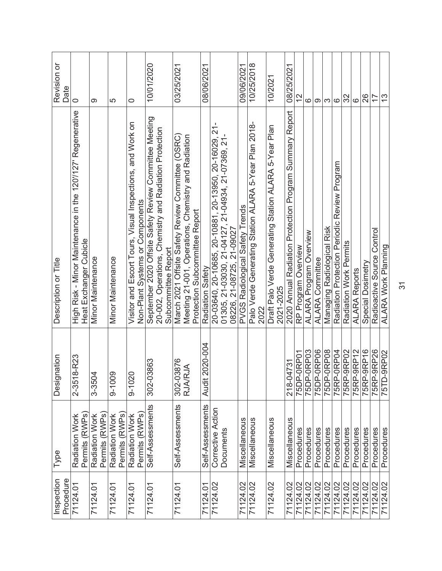| Inspection<br>Procedure | Type                             | Designation                 | Description or Title                                                                                                                       | Revision or<br>Date |
|-------------------------|----------------------------------|-----------------------------|--------------------------------------------------------------------------------------------------------------------------------------------|---------------------|
| 71124.01                | Permits (RWPs<br>Radiation Work  | 8-R23<br>$2 - 351$          | High Risk - Minor Maintenance in the 120'/127' Regenerative<br>Heat Exchanger Cubicle                                                      | $\circ$             |
| 71124.01                | Permits (RWPs)<br>Radiation Work | 3-3504                      | Minor Maintenance                                                                                                                          | ග                   |
| 71124.01                | Permits (RWPs)<br>Radiation Work | $9 - 1009$                  | <b>Minor Maintenance</b>                                                                                                                   | 5                   |
| 71124.01                | Permits (RWPs)<br>Radiation Work | $9 - 1020$                  | Visitor and Escort Tours, Visual Inspections, and Work on<br>Non-Plant Systems or Components                                               | 0                   |
| 71124.01                | Self-Assessments                 | 302-03863                   | September 2020 Offsite Safety Review Committee Meeting<br>20-002, Operations, Chemistry and Radiation Protection<br>Subcommittee Report    | 10/01/2020          |
| 71124.01                | Self-Assessments                 | 302-03876<br><b>RJA/RJA</b> | March 2021 Offsite Safety Review Committee (OSRC)<br>Meeting 21-001, Operations, Chemistry and Radiation<br>Protection Subcommittee Report | 03/25/2021          |
| 71124.01                | Self-Assessments                 | 2020-004<br><b>Audit</b>    | Radiation Safety                                                                                                                           | 08/06/2021          |
| 71124.02                | Corrective Action<br>Documents   |                             | 20-03640, 20-10685, 20-10881, 20-13950, 20-16029, 21-<br>01305, 21-03030, 21-04127, 21-04934, 21-07369, 21-<br>08226, 21-08725, 21-09027   |                     |
| 71124.02                | Miscellaneous                    |                             | PVGS Radiological Safety Trends                                                                                                            | 09/06/2021          |
| 71124.02                | Miscellaneous                    |                             | Palo Verde Generating Station ALARA 5-Year Plan 2018-<br>2022                                                                              | 10/25/2018          |
| 71124.02                | Miscellaneous                    |                             | Draft Palo Verde Generating Station ALARA 5-Year Plan<br>2021-2025                                                                         | 10/2021             |
| 71124.02                | Miscellaneous                    | 218-04731                   | 2020 Annual Radiation Protection Program Summary Report                                                                                    | 08/25/2021          |
| 71124.02                | Procedures                       | 75DP-0RP01                  | RP Program Overview                                                                                                                        | $\frac{2}{3}$       |
| 71124.02                | Procedures                       | 75DP-0RP03                  | ALARA Program Overview                                                                                                                     | ဖ                   |
| 71124.02                | Procedures                       | 75DP-0RP06                  | <b>ALARA Committee</b>                                                                                                                     | တ                   |
| 71124.02                | Procedures                       | 75DP-0RP08                  | Managing Radiological Risk                                                                                                                 | က                   |
| 71124.02                | Procedures                       | 75RP-0RP04                  | Radiation Protection Periodic Review Program                                                                                               | $\circ$             |
| 71124.02                | Procedures                       | 75RP-9RP02                  | Radiation Work Permits                                                                                                                     | 32                  |
| 71124.02                | Procedures                       | 75RP-9RP12                  | <b>ALARA Reports</b>                                                                                                                       | $\circ$             |
| 71124.02                | Procedures                       | 75RP-9RP16                  | Special Dosimetry                                                                                                                          | 26                  |
| 71124.02                | Procedures                       | 75RP-9RP26                  | Radioactive Source Control                                                                                                                 | 17                  |
| 71124.02                | Procedures                       | $-9$ RP02<br>75TD.          | <b>ALARA Work Planning</b>                                                                                                                 | 13                  |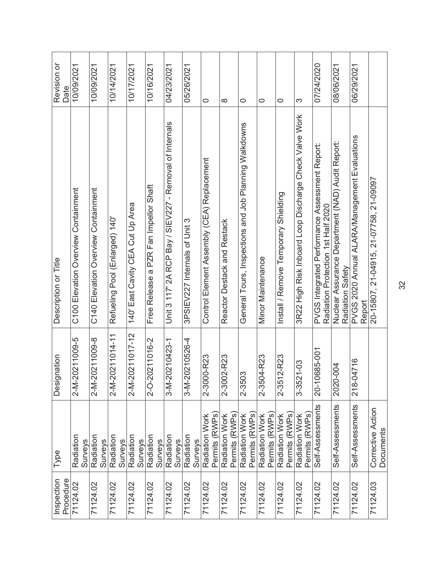| Inspection<br>Procedure | Type                             | Designation        | Description or Title                                                                 | Revision or<br>Date |
|-------------------------|----------------------------------|--------------------|--------------------------------------------------------------------------------------|---------------------|
| 71124.02                | Radiation<br><b>Surveys</b>      | 2-M-20211009-5     | C100 Elevation Overview Containment                                                  | 10/09/2021          |
| 71124.02                | Radiation<br>Surveys             | 2-M-20211009-8     | C140 Elevation Overview Containment                                                  | 10/09/2021          |
| 71124.02                | Radiation<br>Surveys             | 2-M-20211014-11    | Refueling Pool (Enlarged) 140'                                                       | 10/14/2021          |
| 71124.02                | Radiation<br>Surveys             | 2-M-20211017-12    | 140' East Cavity CEA Cut Up Area                                                     | 10/17/2021          |
| 71124.02                | Radiation<br><b>Surveys</b>      | 2-0-20211016-2     | Free Release a PZR Fan Impellor Shaft                                                | 10/16/2021          |
| 71124.02                | Radiation<br><b>Surveys</b>      | 3-M-20210423-1     | Unit 3 117' 2A RCP Bay / SIEV227 - Removal of Internals                              | 04/23/2021          |
| 71124.02                | Radiation<br><b>Surveys</b>      | 3-M-20210526-4     | 3PSIEV227 Internals of Unit 3                                                        | 05/26/2021          |
| 71124.02                | Permits (RWPs<br>Radiation Work  | 2-3000-R23         | Control Element Assembly (CEA) Replacement                                           | 0                   |
| 71124.02                | Permits (RWPs)<br>Radiation Work | 2-3002-R23         | Reactor Destack and Restack                                                          | ∞                   |
| 71124.02                | Permits (RWPs)<br>Radiation Work | 2-3503             | General Tours, Inspections and Job Planning Walkdowns                                | $\circ$             |
| 71124.02                | Permits (RWPs)<br>Radiation Work | 2-3504-R23         | Minor Maintenance                                                                    | $\circ$             |
| 71124.02                | Permits (RWPs)<br>Radiation Work | 2-R23<br>$2 - 351$ | Install / Remove Temporary Shielding                                                 | 0                   |
| 71124.02                | Permits (RWPs)<br>Radiation Work | 3-3521-03          | 3R22 High Risk Inboard Loop Discharge Check Valve Work                               | က                   |
| 71124.02                | Self-Assessments                 | 20-10685-001       | PVGS Integrated Performance Assessment Report:<br>Radiation Protection 1st Half 2020 | 07/24/2020          |
| 71124.02                | Self-Assessments                 | 2020-004           | Nuclear Assurance Department (NAD) Audit Report:<br>Radiation Safety                 | 08/06/2021          |
| 71124.02                | Self-Assessments                 | 218-04716          | PVGS 2020 Annual ALARA/Management Evaluations<br>Report                              | 06/29/2021          |
| 71124.03                | Corrective Action<br>Documents   |                    | 20-15807, 21-04915, 21-07758, 21-09097                                               |                     |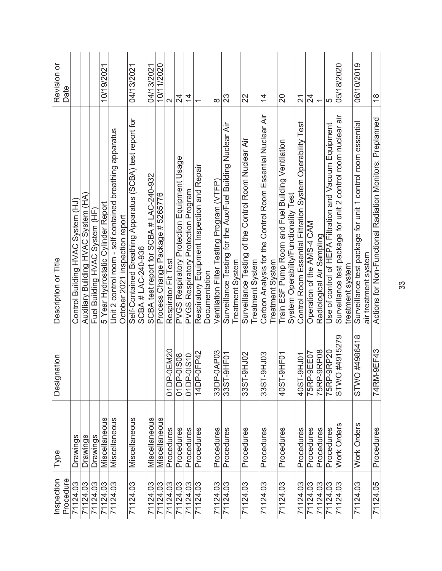| Inspection<br>Procedure | Type          | Designation            | Description or Title                                                                       | Revision or<br>Date      |
|-------------------------|---------------|------------------------|--------------------------------------------------------------------------------------------|--------------------------|
| 71124.03                | Drawings      |                        | Control Building HVAC System (HJ)                                                          |                          |
| 71124.03                | Drawings      |                        | Auxiliary Building HVAC System (HA)                                                        |                          |
| 71124.03                | Drawings      |                        | Fuel Building HVAC System (HF                                                              |                          |
| 71124.03                | Miscellaneous |                        | 5 Year Hydrostatic Cylinder Report                                                         | 10/19/2021               |
| 71124.03                | Miscellaneous |                        | Unit 2 control room - self contained breathing apparatus                                   |                          |
|                         |               |                        | October 2021 inspection report                                                             |                          |
| 71124.03                | Miscellaneous |                        | Self-Contained Breathing Apparatus (SCBA) test report for<br>SCBA#LAC-240-936              | 04/13/2021               |
| 71124.03                | Miscellaneous |                        | SCBA test report for SCBA # LAC-240-932                                                    | 04/13/2021               |
| 71124.03                | Miscellaneous |                        | Process Change Package # 5265776                                                           | 10/11/2020               |
| 71124.03                | Procedures    | 01DP-0EM20             | Respirator Fit Test                                                                        | $\sim$                   |
| 71124.03                | Procedures    | 01DP-01S08             | PVGS Respiratory Protection Equipment Usage                                                | $\overline{24}$          |
| 71124.03                | Procedures    | 01DP-01S10             | PVGS Respiratory Protection Program                                                        | $\overline{4}$           |
| 71124.03                | Procedures    | 14DP-0FP42             | Respiratory Equipment Inspection and Repair<br>Documentation                               | $\overline{\phantom{0}}$ |
| 71124.03                | Procedures    | 33DP-0AP03             | Ventilation Filter Testing Program (VTFP                                                   | $\infty$                 |
|                         |               |                        |                                                                                            |                          |
| 71124.03                | Procedures    | 33ST-9HF01             | Surveillance Testing for the Aux/Fuel Building Nuclear Air<br>Treatment System             | 23                       |
| 71124.03                | Procedures    | <b>SOLH9-</b><br>33ST- | Surveillance Testing of the Control Room Nuclear Air<br>Treatment System                   | 22                       |
| 71124.03                | Procedures    | <b>POLHO-</b><br>33ST- | Carbon Analysis for the Control Room Essential Nuclear Air<br>Treatment System             | $\overline{4}$           |
|                         |               |                        |                                                                                            |                          |
| 71124.03                | Procedures    | $-9H$ FO1<br>40ST-     | Train ESF Pump Room and Fuel Building Ventilation<br>System Operability/Functionality Test | 20                       |
| 71124.03                | Procedures    | 40ST-9HJ01             | Control Room Essential Filtration System Operability Test                                  | $\overline{2}$           |
| 71124.03                | Procedures    | 75RP-9EE07             | Operation of the AMS-4 CAM                                                                 | 24                       |
| 71124.03                | Procedures    | 75RP-9RP08             | Radiological Air Sampling                                                                  | $\overline{\phantom{0}}$ |
| 71124.03<br>71124.03    | Procedures    | 75RP-9RP20             | Use of control of HEPA Filtration and Vacuum Equipment                                     | 5                        |
|                         | Work Orders   | STWO #4915279          | Surveillance test package for unit 2 control room nuclear air                              | 05/18/2020               |
|                         |               |                        | treatment system                                                                           |                          |
| 71124.03                | Work Orders   | STWO #4986418          | Surveillance test package for unit 1 control room essential                                | 06/10/2019               |
|                         |               |                        | air treatment system                                                                       |                          |
| 71124.05                | Procedures    | 74RM-9EF43             | Actions for Non-Functional Radiation Monitors: Preplanned                                  | $\frac{8}{1}$            |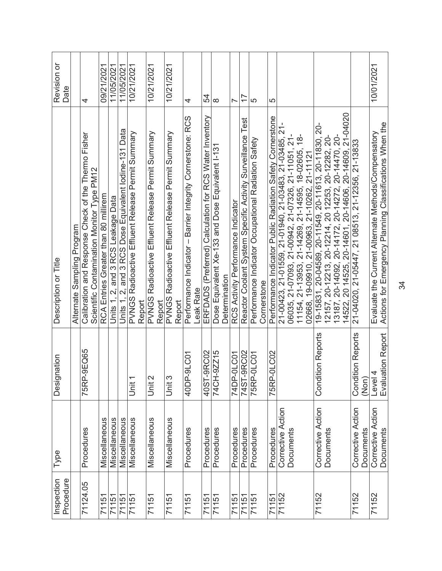| Procedure<br>Inspection | Type                           | Designation                       | Description or Title                                                                                           | Revision or<br>Date      |
|-------------------------|--------------------------------|-----------------------------------|----------------------------------------------------------------------------------------------------------------|--------------------------|
|                         |                                |                                   | Alternate Sampling Program                                                                                     |                          |
| 71124.05                | Procedures                     | 75RP-9EQ65                        | Calibration and Response Check of the Thermo Fisher<br>Scientific Contamination Monitor Type PM12              | 4                        |
| 71151                   | Miscellaneous                  |                                   | RCA Entries Greater than 80 millirem                                                                           | 09/21/2021               |
| 71151                   | Miscellaneous                  |                                   | Units 1, 2, and 3 RCS Leakage Data                                                                             | 11/05/2021               |
| 71151                   | Miscellaneous                  |                                   | Units 1, 2, and 3 RCS Dose Equivalent lodine-131 Data                                                          | 11/05/2021               |
| 71151                   | Miscellaneous                  | Unit 1                            | PVNGS Radioactive Effluent Release Permit Summary                                                              | 10/21/2021               |
|                         |                                |                                   | Report                                                                                                         |                          |
| 71151                   | Miscellaneous                  | Unit 2                            | PVNGS Radioactive Effluent Release Permit Summary<br>Report                                                    | 10/21/2021               |
| 71151                   | Miscellaneous                  | Unit 3                            | PVNGS Radioactive Effluent Release Permit Summary<br>Report                                                    | 10/21/2021               |
| 71151                   | Procedures                     | 40DP-9LC01                        | Performance Indicator - Barrier Integrity Cornerstone: RCS                                                     | 4                        |
|                         |                                |                                   | Leak Rate                                                                                                      |                          |
| 71151                   | Procedures                     | 40ST-9RC02                        | ERFDADS (Preferred) Calculation for RCS Water Inventory                                                        | 54                       |
| 71151                   | Procedures                     | 74CH-9ZZ15                        | Dose Equivalent Xe-133 and Dose Equivalent I-131                                                               | $\infty$                 |
|                         |                                |                                   | Determination                                                                                                  |                          |
| 71151                   | Procedures                     | 74DP-0LC01                        | RCS Activity Performance Indicator                                                                             | $\overline{\phantom{0}}$ |
| 71151                   | Procedures                     | 74ST-9RC02                        | Reactor Coolant System Specific Activity Surveillance Test                                                     | $\overline{1}$           |
| 71151                   | Procedures                     | 75RP-0LC01                        | Performance Indicator Occupational Radiation Safety                                                            | 5                        |
|                         |                                |                                   | Cornerstone                                                                                                    |                          |
| 71151                   | Procedures                     | 75RP-0LC02                        | Performance Indicator Public Radiation Safety Cornerstone                                                      | 5                        |
| 71152                   | Corrective Action              |                                   | 21-00423, 21-01559, 21-01940, 21-03483, 21-03485, 21-                                                          |                          |
|                         | Documents                      |                                   | 06035, 21-07093, 21-00942, 21-07326, 21-11051, 21-<br>11154, 21-13953, 21-14269, 21-14595, 18-02605, 18-       |                          |
|                         |                                |                                   |                                                                                                                |                          |
|                         |                                |                                   | 19-09910, 21-00963, 21-10262, 21-11121<br>02668,                                                               |                          |
| 71152                   | Corrective Action              | ition Reports<br>Condi            | 19-15831, 20-04589, 20-11549, 20-11613, 20-11830, 20-                                                          |                          |
|                         | Documents                      |                                   | 12157, 20-12213, 20-12214, 20 12253, 20-12282, 20-                                                             |                          |
|                         |                                |                                   | 13187, 20-14092, 20-14172, 20-14272, 20-14470, 20-                                                             |                          |
|                         |                                |                                   | 14522, 20 14525, 20-14601, 20-14606, 20-14609, 21-04020                                                        |                          |
| 71152                   | Corrective Action<br>Documents | <b>Condition Reports</b><br>(Non) | 21-04020, 21-05447, 21 08513, 21-12356, 21-13833                                                               |                          |
|                         |                                |                                   |                                                                                                                |                          |
| 71152                   | Corrective Action<br>Documents | Level 4<br>Evaluation Report      | Actions for Emergency Planning Classifications When the<br>Evaluate the Current Alternate Methods/Compensatory | 10/01/2021               |

34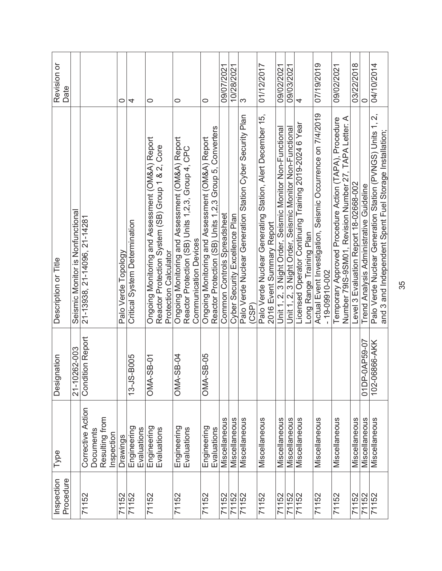| Procedure<br>Inspection | Type                                                           | Designation           | Description or Title                                                                                                                 | Revision or<br>Date |
|-------------------------|----------------------------------------------------------------|-----------------------|--------------------------------------------------------------------------------------------------------------------------------------|---------------------|
|                         |                                                                | 21-10262-003          | Seismic Monitor is Nonfunctiona                                                                                                      |                     |
| 71152                   | Corrective Action<br>Resulting from<br>Documents<br>Inspection | ition Report<br>Condi | 21-13938, 21-14096, 21-14281                                                                                                         |                     |
| 71152                   | Drawings                                                       |                       | Palo Verde Topology                                                                                                                  | 0                   |
| 71152                   | Engineering<br>Evaluations                                     | 13-JS-B005            | Critical System Determination                                                                                                        | 4                   |
| 71152                   | Engineering<br>Evaluations                                     | $-5B-01$<br>OMA-      | Ongoing Monitoring and Assessment (OM&A) Report<br>Reactor Protection System (SB) Group 1 & 2, Core<br><b>Protection Calculator</b>  | 0                   |
| 71152                   | Engineering<br>Evaluations                                     | SB-04<br>OMA-         | Ongoing Monitoring and Assessment (OM&A) Report<br>Reactor Protection (SB) Units 1,2,3, Group 4, CPC<br><b>Communication Devices</b> | $\circ$             |
| 71152                   | Engineering<br>Evaluations                                     | SB-05<br>OMA-         | Reactor Protection (SB) Units 1,2,3 Group 5, Converters<br>Ongoing Monitoring and Assessment (OM&A) Report                           | 0                   |
| 71152                   | Miscellaneous                                                  |                       | Common Controls Spreadsheet                                                                                                          | 09/07/2021          |
| 71152                   | Miscellaneous                                                  |                       | Cyber Security Excellence Plan                                                                                                       | 10/28/2021          |
| 71152                   | Miscellaneous                                                  |                       | Palo Verde Nuclear Generation Station Cyber Security Plan<br>(CSP)                                                                   | ω                   |
| 71152                   | Miscellaneous                                                  |                       | Palo Verde Nuclear Generating Station, Alert December 15,<br>2016 Event Summary Report                                               | 01/12/2017          |
| 71152                   | Miscellaneous                                                  |                       | Unit 1, 2, 3 Night Order, Seismic Monitor Non-Functiona                                                                              | 09/02/2021          |
| 71152                   | Miscellaneous                                                  |                       | Unit 1, 2, 3 Night Order, Seismic Monitor Non-Functional                                                                             | 09/03/2021          |
| 71152                   | Miscellaneous                                                  |                       | Licensed Operator Continuing Training 2019-2024 6 Year<br>Long Range Training Plan                                                   | 4                   |
| 71152                   | Miscellaneous                                                  |                       | Actual Event Investigation, Seismic Occurrence on 7/4/2019<br>$-19 - 09910 - 002$                                                    | 07/19/2019          |
| 71152                   | Miscellaneous                                                  |                       | Number 79IS-9SM01, Revision Number 27, TAPA Letter: A<br>Temporary Approved Procedure Action (TAPA), Procedure                       | 09/02/2021          |
| 71152                   | Miscellaneous                                                  |                       | Level 3 Evaluation Report 18-02668-002                                                                                               | 03/22/2018          |
| 71152                   | Miscellaneous                                                  | 01DP-0AP59-07         | Trend Analysis Administrative Guideline                                                                                              |                     |
| 71152                   | Miscellaneous                                                  | 102-06866-AKK         | Palo Verde Nuclear Generation Station (PVNGS) Units 1, 2,<br>and 3 and Independent Spent Fuel Storage Installation;                  | 04/10/2014          |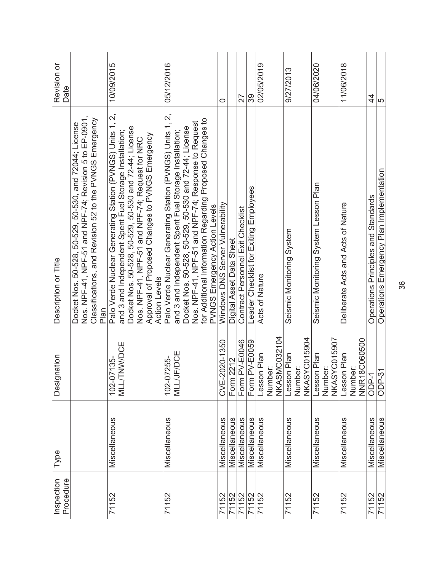| Procedure<br>Inspection | Type          | Designation                                   | Description or Title                                                                                                                                                                                                                                                                                                                    | Revision or<br>Date |
|-------------------------|---------------|-----------------------------------------------|-----------------------------------------------------------------------------------------------------------------------------------------------------------------------------------------------------------------------------------------------------------------------------------------------------------------------------------------|---------------------|
|                         |               |                                               | Nos. NPF-41, NPF-51 and NPF-74; Revision 5 to EP-0901,<br>Classifications, and Revision 52 to the PVNGS Emergency<br>Docket Nos. 50-528, 50-529, 50-530, and 72044; License<br>Plan                                                                                                                                                     |                     |
| 71152                   | Miscellaneous | <b>TNWDCE</b><br>102-07135-<br><b>TTIM</b>    | Palo Verde Nuclear Generation (PVNGS) Units 1, 2,<br>Docket Nos. 50-528, 50-529, 50-530 and 72-44; License<br>and 3 and Independent Spent Fuel Storage Installation;<br>Approval of Proposed Changes to PVNGS Emergency<br>Nos. NPF-41, NPF-51 and NPF-74; Request for NRC<br><b>Action Levels</b>                                      | 10/09/2015          |
| 71152                   | Miscellaneous | <b>MLL/JF/DCE</b><br>102-07255-               | Palo Verde Nuclear Generating Station (PVNGS) Units 1, 2,<br>for Additional Information Regarding Proposed Changes to<br>Nos. NPF-41, NPF-51 and NPF-74; Response to Request<br>Docket Nos. 50-528, 50-529, 50-530 and 72-44; License<br>and 3 and Independent Spent Fuel Storage Installation;<br><b>PVNGS Emergency Action Levels</b> | 05/12/2016          |
| 71152                   | Miscellaneous | CVE-2020-1350                                 | Windows DNS Server Vulnerability                                                                                                                                                                                                                                                                                                        | 0                   |
| 71152                   | Miscellaneous | 2212<br>Form                                  | Digital Asset Data Sheet                                                                                                                                                                                                                                                                                                                |                     |
| 71152                   | Miscellaneous | <b>PV-E0046</b><br>Form                       | Contract Personnel Exit Checklist                                                                                                                                                                                                                                                                                                       | 27                  |
| 71152                   | Miscellaneous | <b>PV-E0059</b><br>Form                       | Leader Checklist for Exiting Employees                                                                                                                                                                                                                                                                                                  | 39                  |
| 71152                   | Miscellaneous | <b>NKASMC032104</b><br>esson Plan<br>Number   | Acts of Nature                                                                                                                                                                                                                                                                                                                          | 02/05/2019          |
| 71152                   | Miscellaneous | <b>NKASYC015904</b><br>Lesson Plan<br>Number  | Seismic Monitoring System                                                                                                                                                                                                                                                                                                               | 9/27/2013           |
| 71152                   | Miscellaneous | <b>NKASYC015907</b><br>Lesson Plan<br>Number: | Seismic Monitoring System Lesson Plan                                                                                                                                                                                                                                                                                                   | 04/06/2020          |
| 71152                   | Miscellaneous | 8C060500<br>Lesson Plan<br>Number:<br>NNR1    | Deliberate Acts and Acts of Nature                                                                                                                                                                                                                                                                                                      | 11/06/2018          |
| 71152                   | Miscellaneous | ODP-1                                         | Operations Principles and Standards                                                                                                                                                                                                                                                                                                     | 44                  |
| 71152                   | Miscellaneous | <b>ODP-31</b>                                 | Operations Emergency Plan Implementation                                                                                                                                                                                                                                                                                                | 5                   |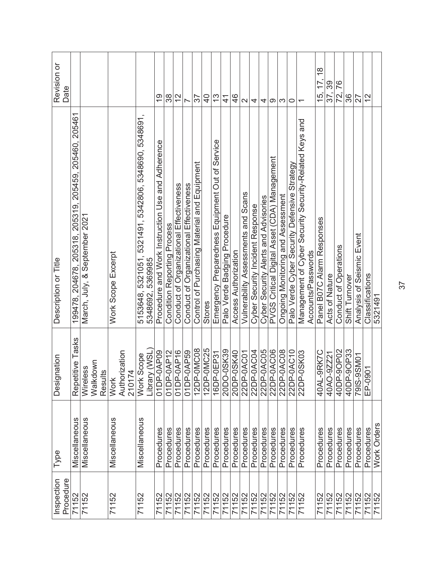| Procedure<br>Inspection | Type          | Designation                                       | Description or Title                                                      | Revision or<br>Date                              |
|-------------------------|---------------|---------------------------------------------------|---------------------------------------------------------------------------|--------------------------------------------------|
| 71152                   | Miscellaneous | Tasks<br>titive<br>Repet                          | 205319, 205459, 205460, 205461<br>205318.<br>199478.204678.               |                                                  |
| 71152                   | Miscellaneous | Walkdown<br>Wireless<br><u>48</u><br><b>Resul</b> | March, July, & September 2021                                             |                                                  |
| 71152                   | Miscellaneous | Authorization<br>210174<br><b>Work</b>            | Work Scope Excerpt                                                        |                                                  |
| 71152                   | Miscellaneous | $Y$ (WSL)<br>Scope<br><b>Work</b><br>Librar       | 5153648, 5321051, 5321491, 5342806, 5348690, 5348691,<br>5348692, 5369985 |                                                  |
| 71152                   | Procedures    | 01DP-0AP09                                        | Procedure and Work Instruction Use and Adherence                          | <u>ღ</u>                                         |
| 71152                   | Procedures    | 01DP-0AP12                                        | <b>Condition Reporting Process</b>                                        | 38                                               |
| 71152                   | Procedures    | 01DP-0AP16                                        | Conduct of Organizational Effectiveness                                   | $\frac{2}{\sqrt{2}}$                             |
| 71152                   | Procedures    | 01DP-0AP59                                        | Conduct of Organizational Effectiveness                                   |                                                  |
| 71152                   | Procedures    | 12DP-0MC08                                        | Control of Purchasing Material and Equipment                              | 57                                               |
| 71152                   | Procedures    | 12DP-0MC25                                        | <b>Stores</b>                                                             | $\frac{1}{2}$                                    |
| 71152                   | Procedures    | 16DP-0EP31                                        | Emergency Preparedness Equipment Out of Service                           | $\frac{3}{5}$                                    |
| 71152                   | Procedures    | 20DO-0SK39                                        | Palo Verde Badging Procedure                                              | $\frac{4}{1}$                                    |
| 71152                   | Procedures    | 20DP-0SK40                                        | Access Authorization                                                      | 46                                               |
| 71152                   | Procedures    | 22DP-0AC01                                        | Vulnerability Assessments and Scans                                       | $\sim$                                           |
| 71152                   | Procedures    | 22DP-0AC04                                        | Cyber Security Incident Response                                          | 4                                                |
| 71152                   | Procedures    | 22DP-0AC05                                        | Cyber Security Alerts and Advisories                                      | 4                                                |
| 71152                   | Procedures    | 22DP-0AC06                                        | PVGS Critical Digital Asset (CDA) Management                              | တ                                                |
| 71152                   | Procedures    | 22DP-0AC08                                        | Ongoing Monitoring and Assessment                                         | S                                                |
| 71152                   | Procedures    | 22DP-0AC10                                        | Palo Verde Cyber Security Defensive Strategy                              | $\circ$                                          |
| 71152                   | Procedures    | $-0$ SK03<br>22DP-                                | Management of Cyber Security-Related Keys and                             | $\overline{ }$                                   |
|                         |               |                                                   | Accounts/Passwords                                                        |                                                  |
| 71152                   | Procedures    | -9RK7C<br>40AL-                                   | Panel B07C Alarm Responses                                                | $\frac{8}{1}$<br>$\overline{7}$<br>$\frac{5}{3}$ |
| 71152                   | Procedures    | $-9ZZ21$<br>40AO                                  | Acts of Nature                                                            | 39<br>37,                                        |
| 71152                   | Procedures    | 40DP-9OP02                                        | Conduct of Operations                                                     | 76<br>72,                                        |
| 71152                   | Procedures    | 40DP-90P33                                        | Shift Turnover                                                            | 36                                               |
| 71152                   | Procedures    | 79IS-9SM01                                        | Analysis of Seismic Event                                                 | 27                                               |
| 71152                   | Procedures    | EP-0901                                           | Classifications                                                           | 27                                               |
| 71152                   | Work Orders   |                                                   | 5321491                                                                   |                                                  |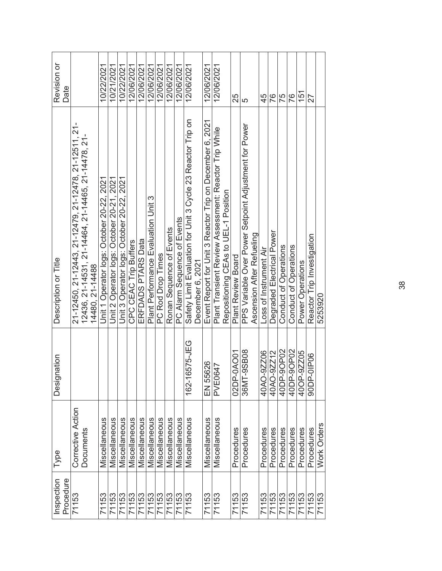| Revision or<br>Date     |                                                       |                                                                       | 10/22/2021                                | 10/21/2021                                | 10/22/2021                                | 12/06/2021            | 12/06/2021         | 12/06/2021                          | 12/06/2021        | 12/06/2021               | 12/06/2021                  | 12/06/2021                                                                      | 12/06/2021                                               | 12/06/2021                                            |                                      | 25                 | 5                                                     |                           | 45                     | 76                        | 75                    | 76                    | 151              |            |
|-------------------------|-------------------------------------------------------|-----------------------------------------------------------------------|-------------------------------------------|-------------------------------------------|-------------------------------------------|-----------------------|--------------------|-------------------------------------|-------------------|--------------------------|-----------------------------|---------------------------------------------------------------------------------|----------------------------------------------------------|-------------------------------------------------------|--------------------------------------|--------------------|-------------------------------------------------------|---------------------------|------------------------|---------------------------|-----------------------|-----------------------|------------------|------------|
| Description or Title    | 21-12450, 21-12443, 21-12479, 21-12478, 21-12511, 21- | 12436, 21-14531, 21-14464, 21-14465, 21-14478, 21-<br>14480, 21-14488 | Unit 1 Operator logs: October 20-22, 2021 | Unit 2 Operator logs: October 20-21, 2021 | Unit 3 Operator logs: October 20-22, 2021 | CPC CEAC Trip Buffers | ERFDADS PTARS Data | Plant Performance Evaluation Unit 3 | PC Rod Drop Times | Ronan Sequence of Events | PC Alarm Sequence of Events | Safety Limit Evaluation for Unit 3 Cycle 23 Reactor Trip on<br>December 6, 2021 | Event Report for Unit 3 Reactor Trip on December 6, 2021 | Plant Transient Review Assessment: Reactor Trip While | Repositioning CEAs to UEL-1 Position | Plant Review Board | PPS Variable Over Power Setpoint Adjustment for Power | Ascension After Refueling | Loss of Instrument Air | Degraded Electrical Power | Conduct of Operations | Conduct of Operations | Power Operations |            |
| Designation             |                                                       |                                                                       |                                           |                                           |                                           |                       |                    |                                     |                   |                          |                             | 6575-JEG<br>$162 - 1$                                                           | EN 55626                                                 | <b>PVE0647</b>                                        |                                      | 02DP-0AO01         | -9SB08<br>36MT                                        |                           | 40AO-9ZZ06             | 40AO-9ZZ12                | 40DP-9OP02            | 40DP-9OP02            | -9ZZ05<br>40OP   | 90DP-01P06 |
| Type                    | Corrective Action                                     | Documents                                                             | Miscellaneous                             | Miscellaneous                             | Miscellaneous                             | Miscellaneous         | Miscellaneous      | Miscellaneous                       | Miscellaneous     | Miscellaneous            | Miscellaneous               | Miscellaneous                                                                   | Miscellaneous                                            | Miscellaneous                                         |                                      | Procedures         | Procedures                                            |                           | Procedures             | Procedures                | Procedures            | Procedures            | Procedures       |            |
| Inspection<br>Procedure | 71153                                                 |                                                                       | 71153                                     | 71153                                     | 71153                                     | 71153                 | 71153              | 71153                               | 71153             | 71153                    | 71153                       | 71153                                                                           | 71153                                                    | 71153                                                 |                                      | 71153              | 71153                                                 |                           | 71153                  | 71153                     | 71153                 | 71153                 | 71153            | 71153      |